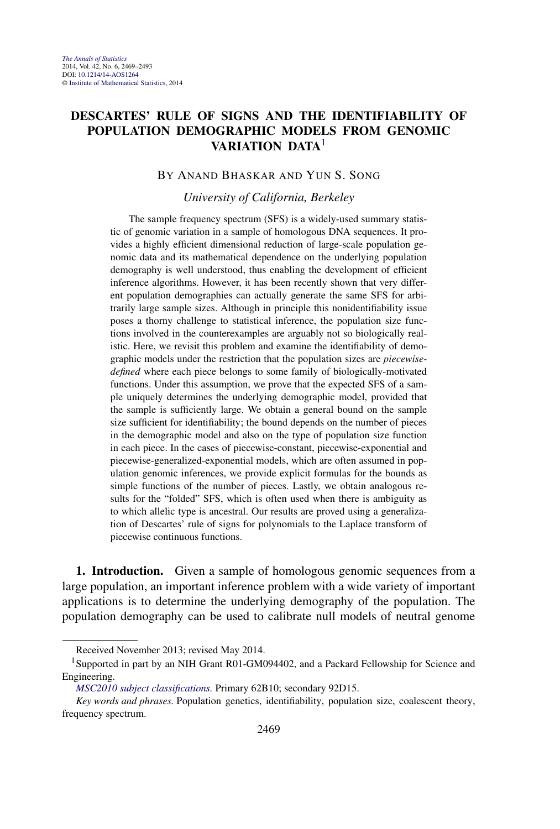## **DESCARTES' RULE OF SIGNS AND THE IDENTIFIABILITY OF POPULATION DEMOGRAPHIC MODELS FROM GENOMIC VARIATION DATA**<sup>1</sup>

## BY ANAND BHASKAR AND YUN S. SONG

## *University of California, Berkeley*

The sample frequency spectrum (SFS) is a widely-used summary statistic of genomic variation in a sample of homologous DNA sequences. It provides a highly efficient dimensional reduction of large-scale population genomic data and its mathematical dependence on the underlying population demography is well understood, thus enabling the development of efficient inference algorithms. However, it has been recently shown that very different population demographies can actually generate the same SFS for arbitrarily large sample sizes. Although in principle this nonidentifiability issue poses a thorny challenge to statistical inference, the population size functions involved in the counterexamples are arguably not so biologically realistic. Here, we revisit this problem and examine the identifiability of demographic models under the restriction that the population sizes are *piecewisedefined* where each piece belongs to some family of biologically-motivated functions. Under this assumption, we prove that the expected SFS of a sample uniquely determines the underlying demographic model, provided that the sample is sufficiently large. We obtain a general bound on the sample size sufficient for identifiability; the bound depends on the number of pieces in the demographic model and also on the type of population size function in each piece. In the cases of piecewise-constant, piecewise-exponential and piecewise-generalized-exponential models, which are often assumed in population genomic inferences, we provide explicit formulas for the bounds as simple functions of the number of pieces. Lastly, we obtain analogous results for the "folded" SFS, which is often used when there is ambiguity as to which allelic type is ancestral. Our results are proved using a generalization of Descartes' rule of signs for polynomials to the Laplace transform of piecewise continuous functions.

**1. Introduction.** Given a sample of homologous genomic sequences from a large population, an important inference problem with a wide variety of important applications is to determine the underlying demography of the population. The population demography can be used to calibrate null models of neutral genome

Received November 2013; revised May 2014.

<sup>&</sup>lt;sup>1</sup>Supported in part by an NIH Grant R01-GM094402, and a Packard Fellowship for Science and Engineering.

*[MSC2010 subject classifications.](http://www.ams.org/mathscinet/msc/msc2010.html)* Primary 62B10; secondary 92D15.

*Key words and phrases.* Population genetics, identifiability, population size, coalescent theory, frequency spectrum.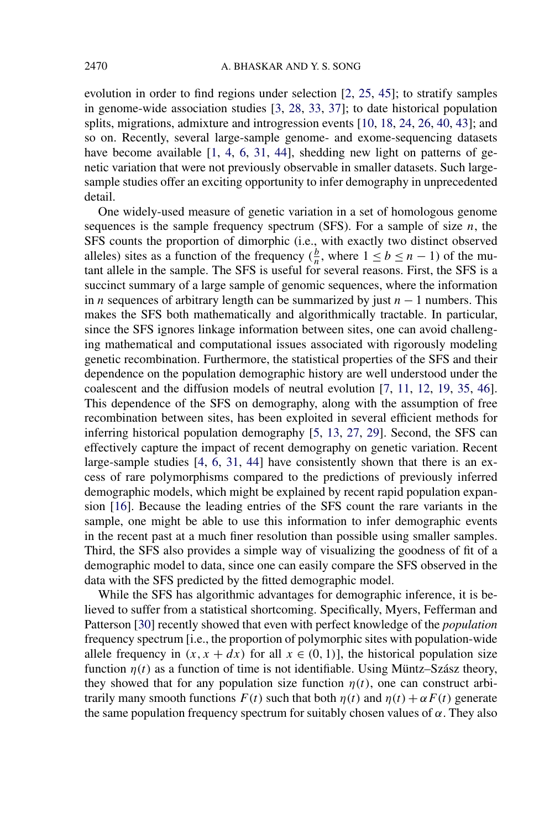evolution in order to find regions under selection [\[2,](#page-22-0) [25,](#page-23-0) [45\]](#page-24-0); to stratify samples in genome-wide association studies [\[3,](#page-22-0) [28,](#page-23-0) [33,](#page-23-0) [37\]](#page-23-0); to date historical population splits, migrations, admixture and introgression events [\[10,](#page-22-0) [18,](#page-22-0) [24,](#page-23-0) [26,](#page-23-0) [40,](#page-24-0) [43\]](#page-24-0); and so on. Recently, several large-sample genome- and exome-sequencing datasets have become available [\[1,](#page-21-0) [4,](#page-22-0) [6,](#page-22-0) [31,](#page-23-0) [44\]](#page-24-0), shedding new light on patterns of genetic variation that were not previously observable in smaller datasets. Such largesample studies offer an exciting opportunity to infer demography in unprecedented detail.

One widely-used measure of genetic variation in a set of homologous genome sequences is the sample frequency spectrum (SFS). For a sample of size  $n$ , the SFS counts the proportion of dimorphic (i.e., with exactly two distinct observed alleles) sites as a function of the frequency  $(\frac{b}{n}$ , where  $1 \le b \le n - 1$ ) of the mutant allele in the sample. The SFS is useful for several reasons. First, the SFS is a succinct summary of a large sample of genomic sequences, where the information in *n* sequences of arbitrary length can be summarized by just *n* − 1 numbers. This makes the SFS both mathematically and algorithmically tractable. In particular, since the SFS ignores linkage information between sites, one can avoid challenging mathematical and computational issues associated with rigorously modeling genetic recombination. Furthermore, the statistical properties of the SFS and their dependence on the population demographic history are well understood under the coalescent and the diffusion models of neutral evolution [\[7,](#page-22-0) [11,](#page-22-0) [12,](#page-22-0) [19,](#page-22-0) [35,](#page-23-0) [46\]](#page-24-0). This dependence of the SFS on demography, along with the assumption of free recombination between sites, has been exploited in several efficient methods for inferring historical population demography [\[5,](#page-22-0) [13,](#page-22-0) [27,](#page-23-0) [29\]](#page-23-0). Second, the SFS can effectively capture the impact of recent demography on genetic variation. Recent large-sample studies [\[4,](#page-22-0) [6,](#page-22-0) [31,](#page-23-0) [44\]](#page-24-0) have consistently shown that there is an excess of rare polymorphisms compared to the predictions of previously inferred demographic models, which might be explained by recent rapid population expansion [\[16\]](#page-22-0). Because the leading entries of the SFS count the rare variants in the sample, one might be able to use this information to infer demographic events in the recent past at a much finer resolution than possible using smaller samples. Third, the SFS also provides a simple way of visualizing the goodness of fit of a demographic model to data, since one can easily compare the SFS observed in the data with the SFS predicted by the fitted demographic model.

While the SFS has algorithmic advantages for demographic inference, it is believed to suffer from a statistical shortcoming. Specifically, Myers, Fefferman and Patterson [\[30\]](#page-23-0) recently showed that even with perfect knowledge of the *population* frequency spectrum [i.e., the proportion of polymorphic sites with population-wide allele frequency in  $(x, x + dx)$  for all  $x \in (0, 1)$ , the historical population size function  $\eta(t)$  as a function of time is not identifiable. Using Müntz–Szász theory, they showed that for any population size function  $\eta(t)$ , one can construct arbitrarily many smooth functions  $F(t)$  such that both  $\eta(t)$  and  $\eta(t) + \alpha F(t)$  generate the same population frequency spectrum for suitably chosen values of  $\alpha$ . They also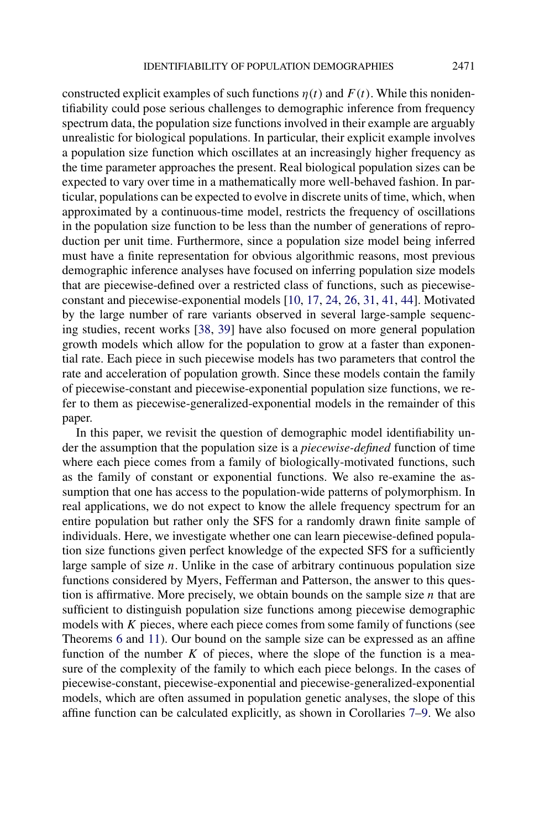constructed explicit examples of such functions  $\eta(t)$  and  $F(t)$ . While this nonidentifiability could pose serious challenges to demographic inference from frequency spectrum data, the population size functions involved in their example are arguably unrealistic for biological populations. In particular, their explicit example involves a population size function which oscillates at an increasingly higher frequency as the time parameter approaches the present. Real biological population sizes can be expected to vary over time in a mathematically more well-behaved fashion. In particular, populations can be expected to evolve in discrete units of time, which, when approximated by a continuous-time model, restricts the frequency of oscillations in the population size function to be less than the number of generations of reproduction per unit time. Furthermore, since a population size model being inferred must have a finite representation for obvious algorithmic reasons, most previous demographic inference analyses have focused on inferring population size models that are piecewise-defined over a restricted class of functions, such as piecewiseconstant and piecewise-exponential models [\[10,](#page-22-0) [17,](#page-22-0) [24,](#page-23-0) [26,](#page-23-0) [31,](#page-23-0) [41,](#page-24-0) [44\]](#page-24-0). Motivated by the large number of rare variants observed in several large-sample sequencing studies, recent works [\[38,](#page-23-0) [39\]](#page-23-0) have also focused on more general population growth models which allow for the population to grow at a faster than exponential rate. Each piece in such piecewise models has two parameters that control the rate and acceleration of population growth. Since these models contain the family of piecewise-constant and piecewise-exponential population size functions, we refer to them as piecewise-generalized-exponential models in the remainder of this paper.

In this paper, we revisit the question of demographic model identifiability under the assumption that the population size is a *piecewise-defined* function of time where each piece comes from a family of biologically-motivated functions, such as the family of constant or exponential functions. We also re-examine the assumption that one has access to the population-wide patterns of polymorphism. In real applications, we do not expect to know the allele frequency spectrum for an entire population but rather only the SFS for a randomly drawn finite sample of individuals. Here, we investigate whether one can learn piecewise-defined population size functions given perfect knowledge of the expected SFS for a sufficiently large sample of size *n*. Unlike in the case of arbitrary continuous population size functions considered by Myers, Fefferman and Patterson, the answer to this question is affirmative. More precisely, we obtain bounds on the sample size *n* that are sufficient to distinguish population size functions among piecewise demographic models with *K* pieces, where each piece comes from some family of functions (see Theorems [6](#page-8-0) and [11\)](#page-9-0). Our bound on the sample size can be expressed as an affine function of the number  $K$  of pieces, where the slope of the function is a measure of the complexity of the family to which each piece belongs. In the cases of piecewise-constant, piecewise-exponential and piecewise-generalized-exponential models, which are often assumed in population genetic analyses, the slope of this affine function can be calculated explicitly, as shown in Corollaries [7–](#page-8-0)[9.](#page-9-0) We also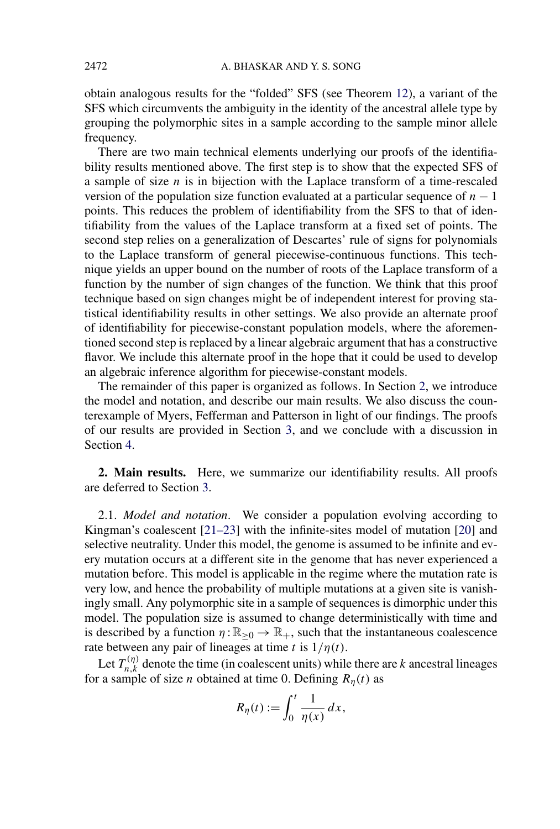obtain analogous results for the "folded" SFS (see Theorem [12\)](#page-10-0), a variant of the SFS which circumvents the ambiguity in the identity of the ancestral allele type by grouping the polymorphic sites in a sample according to the sample minor allele frequency.

There are two main technical elements underlying our proofs of the identifiability results mentioned above. The first step is to show that the expected SFS of a sample of size *n* is in bijection with the Laplace transform of a time-rescaled version of the population size function evaluated at a particular sequence of  $n - 1$ points. This reduces the problem of identifiability from the SFS to that of identifiability from the values of the Laplace transform at a fixed set of points. The second step relies on a generalization of Descartes' rule of signs for polynomials to the Laplace transform of general piecewise-continuous functions. This technique yields an upper bound on the number of roots of the Laplace transform of a function by the number of sign changes of the function. We think that this proof technique based on sign changes might be of independent interest for proving statistical identifiability results in other settings. We also provide an alternate proof of identifiability for piecewise-constant population models, where the aforementioned second step is replaced by a linear algebraic argument that has a constructive flavor. We include this alternate proof in the hope that it could be used to develop an algebraic inference algorithm for piecewise-constant models.

The remainder of this paper is organized as follows. In Section 2, we introduce the model and notation, and describe our main results. We also discuss the counterexample of Myers, Fefferman and Patterson in light of our findings. The proofs of our results are provided in Section [3,](#page-11-0) and we conclude with a discussion in Section [4.](#page-19-0)

**2. Main results.** Here, we summarize our identifiability results. All proofs are deferred to Section [3.](#page-11-0)

2.1. *Model and notation*. We consider a population evolving according to Kingman's coalescent [\[21–23\]](#page-23-0) with the infinite-sites model of mutation [\[20\]](#page-23-0) and selective neutrality. Under this model, the genome is assumed to be infinite and every mutation occurs at a different site in the genome that has never experienced a mutation before. This model is applicable in the regime where the mutation rate is very low, and hence the probability of multiple mutations at a given site is vanishingly small. Any polymorphic site in a sample of sequences is dimorphic under this model. The population size is assumed to change deterministically with time and is described by a function  $\eta : \mathbb{R}_{\geq 0} \to \mathbb{R}_+$ , such that the instantaneous coalescence rate between any pair of lineages at time *t* is 1*/η(t)*.

Let  $T_{n,k}^{(\eta)}$  denote the time (in coalescent units) while there are *k* ancestral lineages for a sample of size *n* obtained at time 0. Defining  $R_n(t)$  as

$$
R_{\eta}(t) := \int_0^t \frac{1}{\eta(x)} dx,
$$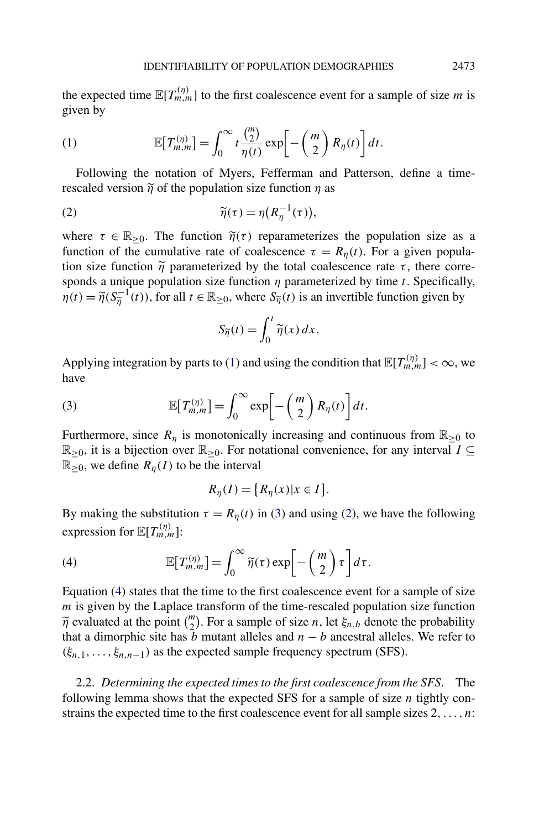<span id="page-4-0"></span>the expected time  $\mathbb{E}[T_{m,m}^{(\eta)}]$  to the first coalescence event for a sample of size *m* is given by

(1) 
$$
\mathbb{E}[T_{m,m}^{(\eta)}] = \int_0^\infty t \frac{\binom{m}{2}}{\eta(t)} \exp\left[-\left(\frac{m}{2}\right) R_\eta(t)\right] dt.
$$

Following the notation of Myers, Fefferman and Patterson, define a timerescaled version  $\tilde{\eta}$  of the population size function  $\eta$  as

(2) 
$$
\widetilde{\eta}(\tau) = \eta(R_{\eta}^{-1}(\tau)),
$$

where  $\tau \in \mathbb{R}_{\geq 0}$ . The function  $\tilde{\eta}(\tau)$  reparameterizes the population size as a function of the cumulative rate of coalescence  $\tau = R_n(t)$ . For a given population size function  $\tilde{\eta}$  parameterized by the total coalescence rate  $\tau$ , there corresponds a unique population size function *η* parameterized by time *t*. Specifically,  $\hat{\eta}(t) = \tilde{\eta}(S_{\tilde{\eta}}^{-1}(t))$ , for all  $t \in \mathbb{R}_{\geq 0}$ , where  $S_{\tilde{\eta}}(t)$  is an invertible function given by

$$
S_{\widetilde{\eta}}(t) = \int_0^t \widetilde{\eta}(x) \, dx.
$$

Applying integration by parts to (1) and using the condition that  $\mathbb{E}[T_{m,m}^{(\eta)}] < \infty$ , we have

(3) 
$$
\mathbb{E}[T_{m,m}^{(\eta)}] = \int_0^\infty \exp\biggl[-\left(\frac{m}{2}\right)R_\eta(t)\biggr]dt.
$$

Furthermore, since  $R_{\eta}$  is monotonically increasing and continuous from  $\mathbb{R}_{\geq 0}$  to  $\mathbb{R}_{>0}$ , it is a bijection over  $\mathbb{R}_{\geq 0}$ . For notational convenience, for any interval *I* ⊆  $\mathbb{R}_{\geq 0}$ , we define  $R_n(I)$  to be the interval

$$
R_{\eta}(I) = \{ R_{\eta}(x) | x \in I \}.
$$

By making the substitution  $\tau = R_n(t)$  in (3) and using (2), we have the following expression for  $\mathbb{E}[T_{m,m}^{(\eta)}]:$ 

(4) 
$$
\mathbb{E}[T_{m,m}^{(\eta)}]=\int_0^\infty \widetilde{\eta}(\tau)\exp\biggl[-\left(\frac{m}{2}\right)\tau\biggr]d\tau.
$$

Equation (4) states that the time to the first coalescence event for a sample of size *m* is given by the Laplace transform of the time-rescaled population size function  $\tilde{\eta}$  evaluated at the point  $\binom{m}{2}$ . For a sample of size *n*, let  $\xi_{n,b}$  denote the probability that a dimorphic site has *b* mutant alleles and  $n - b$  ancestral alleles. We refer to  $(\xi_{n,1},\ldots,\xi_{n,n-1})$  as the expected sample frequency spectrum (SFS).

2.2. *Determining the expected times to the first coalescence from the SFS*. The following lemma shows that the expected SFS for a sample of size *n* tightly constrains the expected time to the first coalescence event for all sample sizes 2*,...,n*: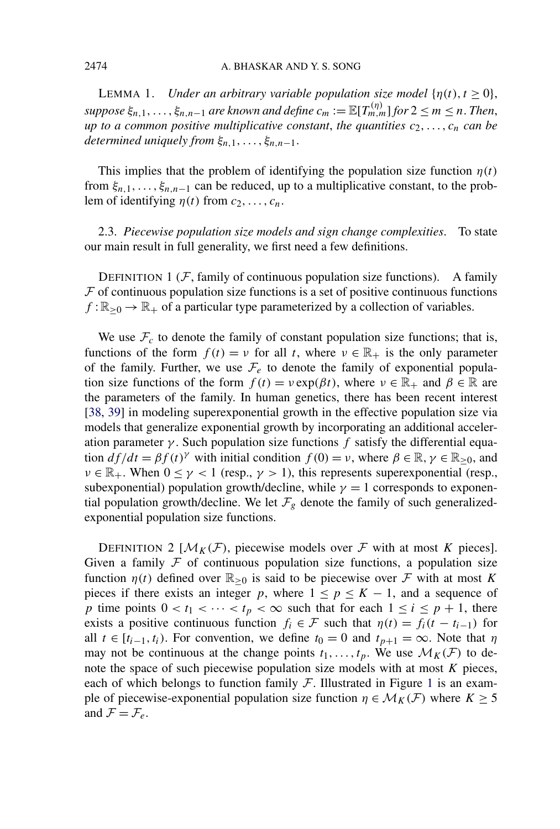<span id="page-5-0"></span>LEMMA 1. *Under an arbitrary variable population size model*  $\{\eta(t), t \geq 0\}$ ,  $suppose \xi_{n,1},\ldots,\xi_{n,n-1}$  are known and define  $c_m:=\mathbb{E}[T_{m,m}^{(\eta)}]$  for  $2\leq m\leq n$  . Then, *up to a common positive multiplicative constant, the quantities*  $c_2, \ldots, c_n$  *can be determined uniquely from ξn,*1*,...,ξn,n*−1.

This implies that the problem of identifying the population size function  $\eta(t)$ from  $\xi_{n,1},\ldots,\xi_{n,n-1}$  can be reduced, up to a multiplicative constant, to the problem of identifying  $\eta(t)$  from  $c_2, \ldots, c_n$ .

2.3. *Piecewise population size models and sign change complexities*. To state our main result in full generality, we first need a few definitions.

DEFINITION 1 ( $F$ , family of continuous population size functions). A family  $F$  of continuous population size functions is a set of positive continuous functions  $f : \mathbb{R}_{\geq 0} \to \mathbb{R}_+$  of a particular type parameterized by a collection of variables.

We use  $\mathcal{F}_c$  to denote the family of constant population size functions; that is, functions of the form  $f(t) = v$  for all *t*, where  $v \in \mathbb{R}_+$  is the only parameter of the family. Further, we use  $\mathcal{F}_e$  to denote the family of exponential population size functions of the form  $f(t) = v \exp(\beta t)$ , where  $v \in \mathbb{R}_+$  and  $\beta \in \mathbb{R}$  are the parameters of the family. In human genetics, there has been recent interest [\[38,](#page-23-0) [39\]](#page-23-0) in modeling superexponential growth in the effective population size via models that generalize exponential growth by incorporating an additional acceleration parameter  $\gamma$ . Such population size functions  $f$  satisfy the differential equation  $df/dt = \beta f(t)^{\gamma}$  with initial condition  $f(0) = \nu$ , where  $\beta \in \mathbb{R}, \gamma \in \mathbb{R}_{>0}$ , and  $\nu \in \mathbb{R}_+$ . When  $0 \le \gamma < 1$  (resp.,  $\gamma > 1$ ), this represents superexponential (resp., subexponential) population growth/decline, while  $\gamma = 1$  corresponds to exponential population growth/decline. We let  $\mathcal{F}_g$  denote the family of such generalizedexponential population size functions.

DEFINITION 2  $[M_K(\mathcal{F})$ , piecewise models over  $\mathcal F$  with at most *K* pieces]. Given a family  $F$  of continuous population size functions, a population size function  $\eta(t)$  defined over  $\mathbb{R}_{\geq 0}$  is said to be piecewise over F with at most K pieces if there exists an integer *p*, where  $1 \le p \le K - 1$ , and a sequence of *p* time points  $0 < t_1 < \cdots < t_p < \infty$  such that for each  $1 \le i \le p + 1$ , there exists a positive continuous function  $f_i \in \mathcal{F}$  such that  $\eta(t) = f_i(t - t_{i-1})$  for all  $t \in [t_{i-1}, t_i)$ . For convention, we define  $t_0 = 0$  and  $t_{p+1} = \infty$ . Note that  $\eta$ may not be continuous at the change points  $t_1, \ldots, t_p$ . We use  $\mathcal{M}_K(\mathcal{F})$  to denote the space of such piecewise population size models with at most *K* pieces, each of which belongs to function family  $\mathcal F$ . Illustrated in Figure [1](#page-6-0) is an example of piecewise-exponential population size function  $\eta \in \mathcal{M}_K(\mathcal{F})$  where  $K \geq 5$ and  $\mathcal{F} = \mathcal{F}_e$ .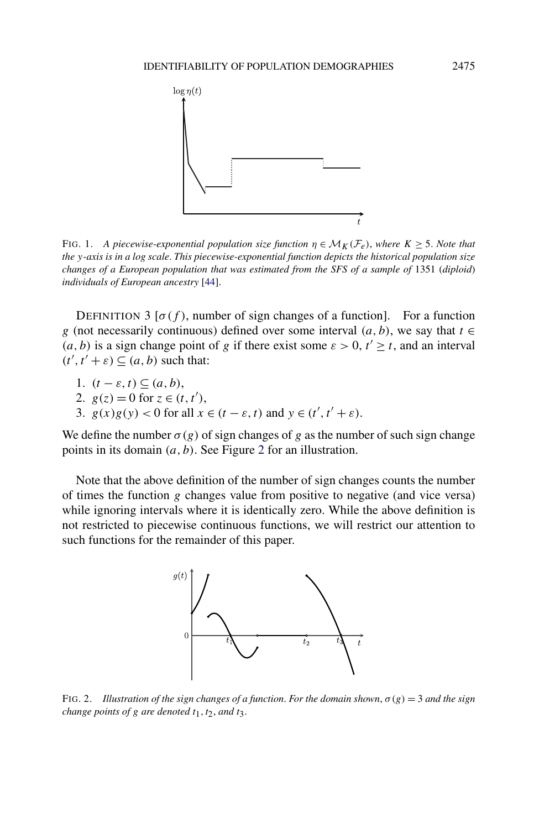<span id="page-6-0"></span>

FIG. 1. *A piecewise-exponential population size function*  $\eta \in \mathcal{M}_K(\mathcal{F}_e)$ , where  $K \geq 5$ . Note that *the y-axis is in a log scale*. *This piecewise-exponential function depicts the historical population size changes of a European population that was estimated from the SFS of a sample of* 1351 (*diploid*) *individuals of European ancestry* [\[44\]](#page-24-0).

DEFINITION 3  $[\sigma(f)]$ , number of sign changes of a function. For a function *g* (not necessarily continuous) defined over some interval  $(a, b)$ , we say that  $t \in$ *(a, b)* is a sign change point of *g* if there exist some *ε* > 0, *t*<sup> $′$ </sup> ≥ *t*, and an interval  $(t', t' + \varepsilon) \subseteq (a, b)$  such that:

- 1.  $(t \varepsilon, t) \subseteq (a, b),$
- 2.  $g(z) = 0$  for  $z \in (t, t'),$
- 3.  $g(x)g(y) < 0$  for all  $x \in (t \varepsilon, t)$  and  $y \in (t', t' + \varepsilon)$ .

We define the number  $\sigma(g)$  of sign changes of *g* as the number of such sign change points in its domain *(a,b)*. See Figure 2 for an illustration.

Note that the above definition of the number of sign changes counts the number of times the function *g* changes value from positive to negative (and vice versa) while ignoring intervals where it is identically zero. While the above definition is not restricted to piecewise continuous functions, we will restrict our attention to such functions for the remainder of this paper.



FIG. 2. *Illustration of the sign changes of a function*. *For the domain shown*, *σ(g)* = 3 *and the sign change points of g are denoted*  $t_1$ *,*  $t_2$ *<i>, and*  $t_3$ *.*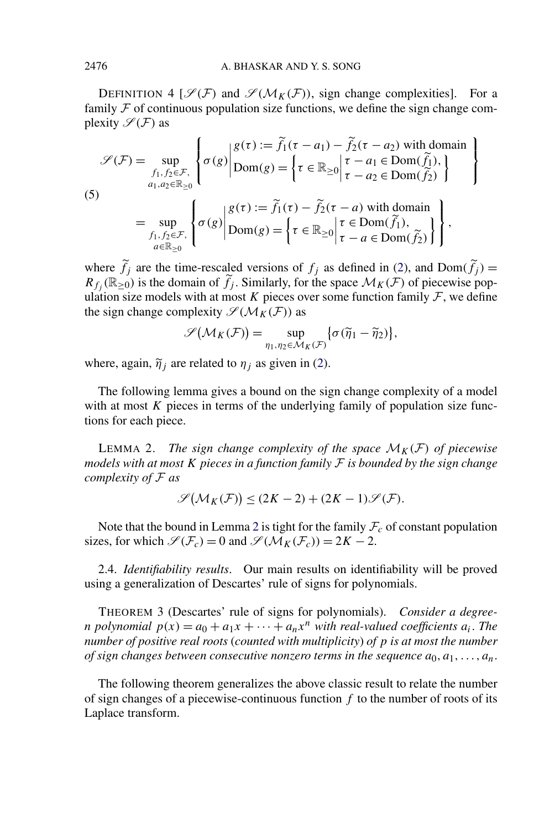DEFINITION 4  $[\mathcal{S}(F)$  and  $\mathcal{S}(M_K(F))$ , sign change complexities]. For a family  $F$  of continuous population size functions, we define the sign change complexity  $\mathscr{S}(\mathcal{F})$  as

$$
\mathcal{S}(\mathcal{F}) = \sup_{\substack{f_1, f_2 \in \mathcal{F}, \\ a_1, a_2 \in \mathbb{R}_{\geq 0}}} \left\{ \sigma(g) \middle| \begin{aligned} g(\tau) &:= \widetilde{f}_1(\tau - a_1) - \widetilde{f}_2(\tau - a_2) \text{ with domain} \\ \text{Dom}(g) &= \left\{ \tau \in \mathbb{R}_{\geq 0} \middle| \begin{aligned} \tau - a_1 & \in \text{Dom}(\widetilde{f}_1), \\ \tau - a_2 & \in \text{Dom}(\widetilde{f}_2) \end{aligned} \right\} \right\} \\ &= \sup_{\substack{f_1, f_2 \in \mathcal{F}, \\ a \in \mathbb{R}_{\geq 0}}} \left\{ \sigma(g) \middle| \begin{aligned} g(\tau) &:= \widetilde{f}_1(\tau) - \widetilde{f}_2(\tau - a) \text{ with domain} \\ \text{Dom}(g) &= \left\{ \tau \in \mathbb{R}_{\geq 0} \middle| \begin{aligned} \tau & \in \text{Dom}(\widetilde{f}_1), \\ \tau - a & \in \text{Dom}(\widetilde{f}_2) \end{aligned} \right\} \right\}, \end{aligned}
$$

where  $\hat{f}_j$  are the time-rescaled versions of  $f_j$  as defined in [\(2\)](#page-4-0), and  $Dom(\hat{f}_j)$  =  $R_{f_j}(\mathbb{R}_{\geq 0})$  is the domain of  $\widetilde{f}_j$ . Similarly, for the space  $\mathcal{M}_K(\mathcal{F})$  of piecewise population size models with at most *K* pieces over some function family  $F$ , we define the sign change complexity  $\mathscr{S}(\mathcal{M}_K(\mathcal{F}))$  as

$$
\mathscr{S}(\mathcal{M}_K(\mathcal{F})) = \sup_{\eta_1, \eta_2 \in \mathcal{M}_K(\mathcal{F})} {\sigma(\widetilde{\eta}_1 - \widetilde{\eta}_2)},
$$

where, again,  $\tilde{\eta}_i$  are related to  $\eta_i$  as given in [\(2\)](#page-4-0).

The following lemma gives a bound on the sign change complexity of a model with at most *K* pieces in terms of the underlying family of population size functions for each piece.

LEMMA 2. *The sign change complexity of the space*  $\mathcal{M}_K(\mathcal{F})$  *of piecewise models with at most K pieces in a function family* F *is bounded by the sign change complexity of* F *as*

$$
\mathscr{S}(\mathcal{M}_K(\mathcal{F})) \le (2K - 2) + (2K - 1)\mathscr{S}(\mathcal{F}).
$$

Note that the bound in Lemma 2 is tight for the family  $\mathcal{F}_c$  of constant population sizes, for which  $\mathcal{S}(\mathcal{F}_c) = 0$  and  $\mathcal{S}(\mathcal{M}_K(\mathcal{F}_c)) = 2K - 2$ .

2.4. *Identifiability results*. Our main results on identifiability will be proved using a generalization of Descartes' rule of signs for polynomials.

THEOREM 3 (Descartes' rule of signs for polynomials). *Consider a degreen* polynomial  $p(x) = a_0 + a_1x + \cdots + a_nx^n$  with real-valued coefficients  $a_i$ . The *number of positive real roots* (*counted with multiplicity*) *of p is at most the number of sign changes between consecutive nonzero terms in the sequence*  $a_0, a_1, \ldots, a_n$ .

The following theorem generalizes the above classic result to relate the number of sign changes of a piecewise-continuous function *f* to the number of roots of its Laplace transform.

<span id="page-7-0"></span>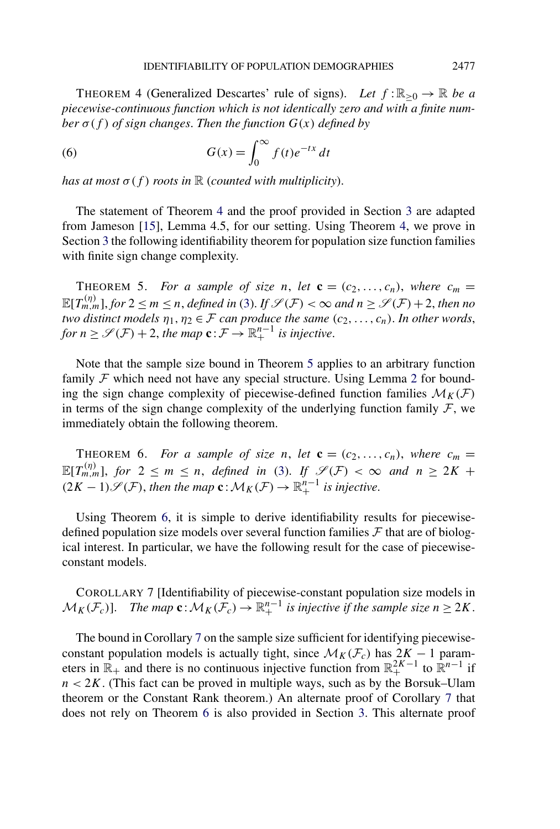<span id="page-8-0"></span>THEOREM 4 (Generalized Descartes' rule of signs). Let  $f : \mathbb{R}_{\geq 0} \to \mathbb{R}$  be a *piecewise-continuous function which is not identically zero and with a finite number*  $\sigma(f)$  *of sign changes. Then the function*  $G(x)$  *defined by* 

(6) 
$$
G(x) = \int_0^\infty f(t)e^{-tx} dt
$$

*has at most*  $\sigma(f)$  *roots in*  $\mathbb R$  *(counted with multiplicity).* 

The statement of Theorem 4 and the proof provided in Section [3](#page-11-0) are adapted from Jameson [\[15\]](#page-22-0), Lemma 4.5, for our setting. Using Theorem 4, we prove in Section [3](#page-11-0) the following identifiability theorem for population size function families with finite sign change complexity.

THEOREM 5. *For a sample of size n*, *let*  $\mathbf{c} = (c_2, \ldots, c_n)$ , *where*  $c_m =$  $\mathbb{E}[T_{m,m}^{(\eta)}],$  for  $2 \leq m \leq n$ , *defined in* [\(3\)](#page-4-0). If  $\mathscr{S}(\mathcal{F}) < \infty$  and  $n \geq \mathscr{S}(\mathcal{F}) + 2$ , then no *two distinct models*  $\eta_1, \eta_2 \in \mathcal{F}$  *can produce the same*  $(c_2, \ldots, c_n)$ *. In other words, for*  $n \geq \mathscr{S}(\mathcal{F}) + 2$ , *the map*  $\mathbf{c}: \mathcal{F} \to \mathbb{R}^{n-1}_+$  *is injective.* 

Note that the sample size bound in Theorem 5 applies to an arbitrary function family  $F$  which need not have any special structure. Using Lemma [2](#page-7-0) for bounding the sign change complexity of piecewise-defined function families  $\mathcal{M}_K(\mathcal{F})$ in terms of the sign change complexity of the underlying function family  $F$ , we immediately obtain the following theorem.

THEOREM 6. For a sample of size *n*, let  $\mathbf{c} = (c_2, \ldots, c_n)$ , where  $c_m =$  $\mathbb{E}[T_{m,m}^{(\eta)}],$  for  $2 \leq m \leq n$ , defined in [\(3\)](#page-4-0). If  $\mathscr{S}(\mathcal{F}) < \infty$  and  $n \geq 2K + 1$  $(2K – 1)$   $\mathscr{S}(\mathcal{F})$ , *then the map*  $\mathbf{c}: \mathcal{M}_K(\mathcal{F}) \to \mathbb{R}^{n-1}_+$  *is injective.* 

Using Theorem 6, it is simple to derive identifiability results for piecewisedefined population size models over several function families  $F$  that are of biological interest. In particular, we have the following result for the case of piecewiseconstant models.

COROLLARY 7 [Identifiability of piecewise-constant population size models in  $\mathcal{M}_K(\mathcal{F}_c)$ ]. The map  $\mathbf{c}: \mathcal{M}_K(\mathcal{F}_c) \to \mathbb{R}^{n-1}_+$  is injective if the sample size  $n \geq 2K$ .

The bound in Corollary 7 on the sample size sufficient for identifying piecewiseconstant population models is actually tight, since  $\mathcal{M}_K(\mathcal{F}_c)$  has  $2K - 1$  parameters in  $\mathbb{R}_+$  and there is no continuous injective function from  $\mathbb{R}_+^{2K-1}$  to  $\mathbb{R}^{n-1}$  if  $n < 2K$ . (This fact can be proved in multiple ways, such as by the Borsuk–Ulam theorem or the Constant Rank theorem.) An alternate proof of Corollary 7 that does not rely on Theorem 6 is also provided in Section [3.](#page-11-0) This alternate proof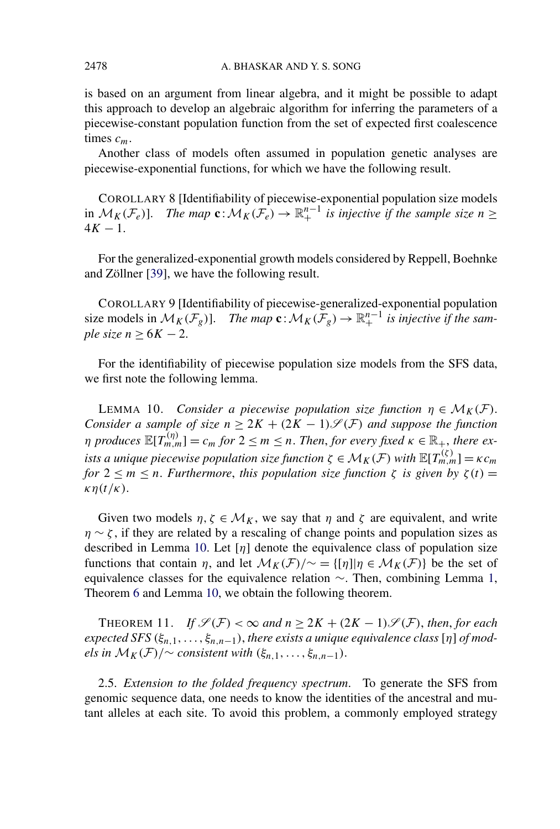is based on an argument from linear algebra, and it might be possible to adapt this approach to develop an algebraic algorithm for inferring the parameters of a piecewise-constant population function from the set of expected first coalescence times *cm*.

Another class of models often assumed in population genetic analyses are piecewise-exponential functions, for which we have the following result.

COROLLARY 8 [Identifiability of piecewise-exponential population size models in  $\mathcal{M}_K(\mathcal{F}_e)$ ]. The map  $\mathbf{c}: \mathcal{M}_K(\mathcal{F}_e) \to \mathbb{R}^{n-1}_+$  is injective if the sample size  $n \geq$  $4K - 1$ .

For the generalized-exponential growth models considered by Reppell, Boehnke and Zöllner [\[39\]](#page-23-0), we have the following result.

COROLLARY 9 [Identifiability of piecewise-generalized-exponential population size models in  $\mathcal{M}_K(\mathcal{F}_g)$ . The map  $\mathbf{c}: \mathcal{M}_K(\mathcal{F}_g) \to \mathbb{R}^{n-1}_+$  is injective if the sam*ple size*  $n > 6K - 2$ .

For the identifiability of piecewise population size models from the SFS data, we first note the following lemma.

**LEMMA 10.** *Consider a piecewise population size function*  $\eta \in M_K(\mathcal{F})$ . *Consider a sample of size*  $n \geq 2K + (2K - 1)\mathcal{S}(F)$  *and suppose the function η produces*  $\mathbb{E}[T_{m,m}^{(\eta)}] = c_m$  *for*  $2 \leq m \leq n$ . Then, for every fixed  $\kappa \in \mathbb{R}_+$ , there ex*ists a unique piecewise population size function*  $\zeta \in \mathcal{M}_K(\mathcal{F})$  *with*  $\mathbb{E}[T_{m,m}^{(\zeta)}] = \kappa c_m$ *for*  $2 \le m \le n$ . *Furthermore, this population size function*  $\zeta$  *is given by*  $\zeta(t) =$ *κη(t/κ)*.

Given two models  $\eta, \zeta \in \mathcal{M}_K$ , we say that  $\eta$  and  $\zeta$  are equivalent, and write  $\eta \sim \zeta$ , if they are related by a rescaling of change points and population sizes as described in Lemma 10. Let  $[\eta]$  denote the equivalence class of population size functions that contain *η*, and let  $\mathcal{M}_K(\mathcal{F})/\sim$  = {[*η*]|*η*  $\in \mathcal{M}_K(\mathcal{F})$ } be the set of equivalence classes for the equivalence relation ∼. Then, combining Lemma [1,](#page-5-0) Theorem [6](#page-8-0) and Lemma 10, we obtain the following theorem.

THEOREM 11. *If*  $\mathcal{S}(F) < \infty$  and  $n \ge 2K + (2K - 1)\mathcal{S}(F)$ , then, for each  $e$ *xpected SFS*  $(\xi_{n,1}, \ldots, \xi_{n,n-1})$ *, there exists a unique equivalence class* [*η*] *of models in*  $\mathcal{M}_K(\mathcal{F})$ / $\sim$  *consistent with*  $(\xi_{n,1},\ldots,\xi_{n,n-1})$ *.* 

2.5. *Extension to the folded frequency spectrum*. To generate the SFS from genomic sequence data, one needs to know the identities of the ancestral and mutant alleles at each site. To avoid this problem, a commonly employed strategy

<span id="page-9-0"></span>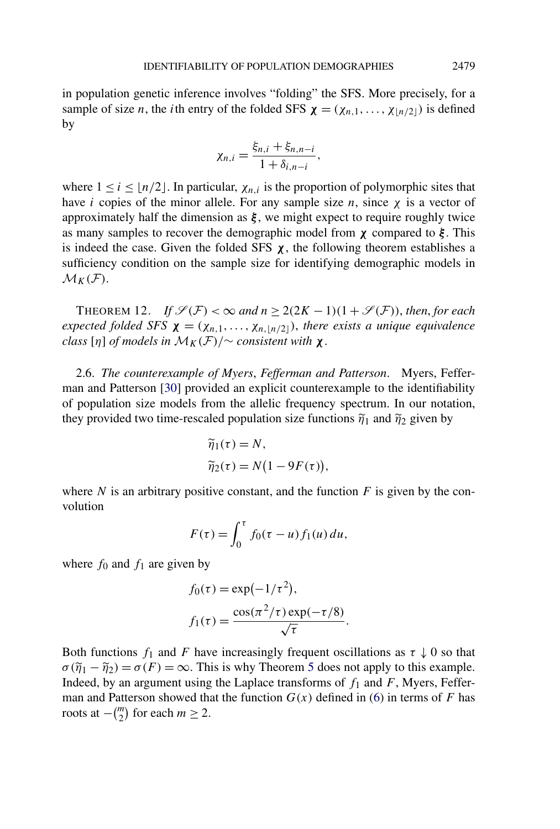<span id="page-10-0"></span>in population genetic inference involves "folding" the SFS. More precisely, for a sample of size *n*, the *i*th entry of the folded SFS  $\chi = (\chi_{n,1}, \ldots, \chi_{\lfloor n/2 \rfloor})$  is defined by

$$
\chi_{n,i} = \frac{\xi_{n,i} + \xi_{n,n-i}}{1 + \delta_{i,n-i}},
$$

where  $1 \le i \le \lfloor n/2 \rfloor$ . In particular,  $\chi_{n,i}$  is the proportion of polymorphic sites that have *i* copies of the minor allele. For any sample size *n*, since  $\chi$  is a vector of approximately half the dimension as *ξ* , we might expect to require roughly twice as many samples to recover the demographic model from *χ* compared to *ξ* . This is indeed the case. Given the folded SFS  $\chi$ , the following theorem establishes a sufficiency condition on the sample size for identifying demographic models in  $\mathcal{M}_K(\mathcal{F})$ .

THEOREM 12. *If*  $\mathcal{S}(F) < \infty$  *and*  $n \geq 2(2K - 1)(1 + \mathcal{S}(F))$ *, then, for each expected folded SFS*  $\chi = (\chi_{n,1}, \ldots, \chi_{n,[n/2]}),$  *there exists a unique equivalence class* [*η*] *of models in*  $\mathcal{M}_K(\mathcal{F})$ /~ *consistent with χ*.

2.6. *The counterexample of Myers*, *Fefferman and Patterson*. Myers, Fefferman and Patterson [\[30\]](#page-23-0) provided an explicit counterexample to the identifiability of population size models from the allelic frequency spectrum. In our notation, they provided two time-rescaled population size functions  $\tilde{\eta}_1$  and  $\tilde{\eta}_2$  given by

$$
\widetilde{\eta}_1(\tau) = N,
$$
  

$$
\widetilde{\eta}_2(\tau) = N(1 - 9F(\tau)),
$$

where  $N$  is an arbitrary positive constant, and the function  $F$  is given by the convolution

$$
F(\tau) = \int_0^{\tau} f_0(\tau - u) f_1(u) du,
$$

where  $f_0$  and  $f_1$  are given by

$$
f_0(\tau) = \exp(-1/\tau^2),
$$
  

$$
f_1(\tau) = \frac{\cos(\pi^2/\tau) \exp(-\tau/8)}{\sqrt{\tau}}.
$$

Both functions  $f_1$  and  $F$  have increasingly frequent oscillations as  $\tau \downarrow 0$  so that  $\sigma(\tilde{\eta}_1 - \tilde{\eta}_2) = \sigma(F) = \infty$ . This is why Theorem [5](#page-8-0) does not apply to this example. Indeed, by an argument using the Laplace transforms of  $f_1$  and  $F$ , Myers, Fefferman and Patterson showed that the function  $G(x)$  defined in [\(6\)](#page-8-0) in terms of *F* has roots at  $-\binom{m}{2}$  for each  $m \ge 2$ .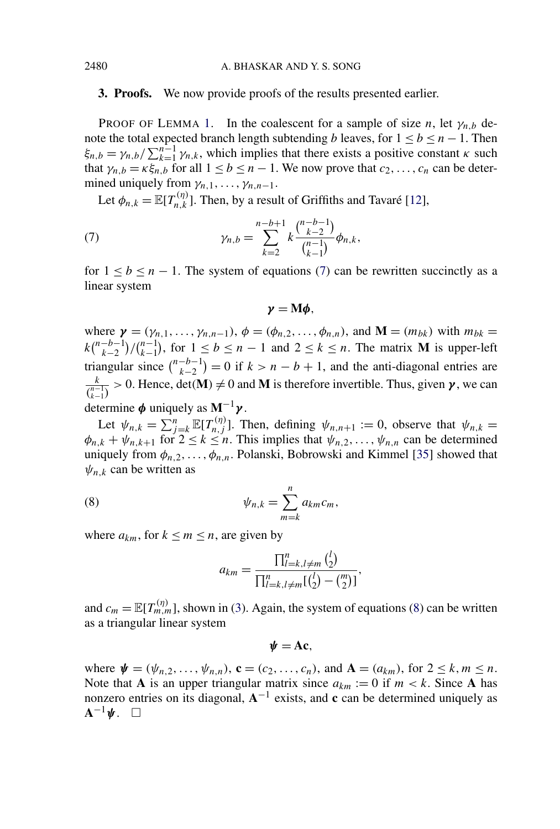<span id="page-11-0"></span>**3. Proofs.** We now provide proofs of the results presented earlier.

PROOF OF LEMMA [1.](#page-5-0) In the coalescent for a sample of size *n*, let  $\gamma_{n,b}$  denote the total expected branch length subtending *b* leaves, for  $1 \le b \le n - 1$ . Then  $\xi_{n,b} = \gamma_{n,b} / \sum_{k=1}^{n-1} \gamma_{n,k}$ , which implies that there exists a positive constant *κ* such that  $\gamma_{n,b} = \kappa \xi_{n,b}$  for all  $1 \le b \le n - 1$ . We now prove that  $c_2, \ldots, c_n$  can be determined uniquely from  $\gamma_{n,1}, \ldots, \gamma_{n,n-1}$ .

Let  $\phi_{n,k} = \mathbb{E}[T_{n,k}^{(\eta)}]$ . Then, by a result of Griffiths and Tavaré [\[12\]](#page-22-0),

(7) 
$$
\gamma_{n,b} = \sum_{k=2}^{n-b+1} k \frac{\binom{n-b-1}{k-2}}{\binom{n-1}{k-1}} \phi_{n,k},
$$

for  $1 \leq b \leq n-1$ . The system of equations (7) can be rewritten succinctly as a linear system

$$
\gamma = M\phi,
$$

where  $\mathbf{y} = (\gamma_{n,1}, \dots, \gamma_{n,n-1}), \phi = (\phi_{n,2}, \dots, \phi_{n,n})$ , and  $\mathbf{M} = (m_{bk})$  with  $m_{bk} =$  $k\binom{n-b-1}{k-2}/\binom{n-1}{k-1}$ , for  $1 \leq b \leq n-1$  and  $2 \leq k \leq n$ . The matrix **M** is upper-left triangular since  $\binom{n-b-1}{k-2} = 0$  if  $k > n - b + 1$ , and the anti-diagonal entries are *k*  $\frac{k}{\binom{n-1}{k-1}} > 0$ . Hence, det(**M**)  $\neq 0$  and **M** is therefore invertible. Thus, given *γ*, we can determine  $\phi$  uniquely as  $M^{-1}\gamma$ .

Let  $\psi_{n,k} = \sum_{j=k}^{n} \mathbb{E}[T_{n,j}^{(\eta)}]$ . Then, defining  $\psi_{n,n+1} := 0$ , observe that  $\psi_{n,k} =$  $\phi_{n,k} + \psi_{n,k+1}$  for  $2 \le k \le n$ . This implies that  $\psi_{n,2}, \dots, \psi_{n,n}$  can be determined uniquely from  $\phi_{n,2}, \ldots, \phi_{n,n}$ . Polanski, Bobrowski and Kimmel [\[35\]](#page-23-0) showed that  $\psi_{n,k}$  can be written as

(8) 
$$
\psi_{n,k} = \sum_{m=k}^{n} a_{km} c_m,
$$

where  $a_{km}$ , for  $k \le m \le n$ , are given by

$$
a_{km} = \frac{\prod_{l=k, l \neq m}^{n} {l \choose 2}}{\prod_{l=k, l \neq m}^{n} {l \choose 2} - {m \choose 2}!},
$$

and  $c_m = \mathbb{E}[T_{m,m}^{(\eta)}]$ , shown in [\(3\)](#page-4-0). Again, the system of equations (8) can be written as a triangular linear system

$$
\psi = Ac,
$$

where  $\psi = (\psi_{n,2}, \dots, \psi_{n,n})$ ,  $\mathbf{c} = (c_2, \dots, c_n)$ , and  $\mathbf{A} = (a_{km})$ , for  $2 \le k, m \le n$ . Note that **A** is an upper triangular matrix since  $a_{km} := 0$  if  $m < k$ . Since **A** has nonzero entries on its diagonal, **A**−<sup>1</sup> exists, and **c** can be determined uniquely as  $A^{-1}\psi$ .  $\Box$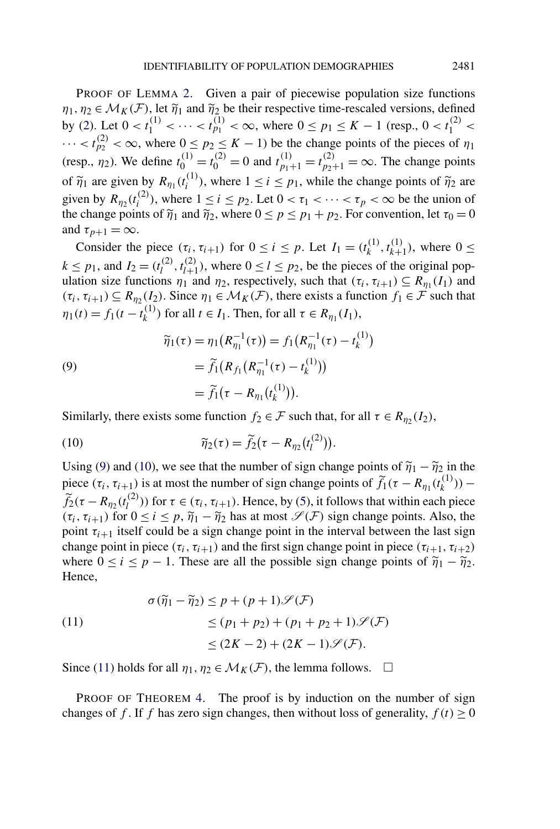PROOF OF LEMMA [2.](#page-7-0) Given a pair of piecewise population size functions  $\eta_1, \eta_2 \in \mathcal{M}_K(\mathcal{F})$ , let  $\tilde{\eta}_1$  and  $\tilde{\eta}_2$  be their respective time-rescaled versions, defined by [\(2\)](#page-4-0). Let  $0 < t_1^{(1)} < \cdots < t_{p_1}^{(1)} < \infty$ , where  $0 \le p_1 \le K - 1$  (resp.,  $0 < t_1^{(2)} <$  $\cdots < t_{p_2}^{(2)} < \infty$ , where  $0 \le p_2 \le K - 1$ ) be the change points of the pieces of  $\eta_1$ (resp.,  $\eta_2$ ). We define  $t_0^{(1)} = t_0^{(2)} = 0$  and  $t_{p_1+1}^{(1)} = t_{p_2+1}^{(2)} = \infty$ . The change points of  $\widetilde{\eta}_1$  are given by  $R_{\eta_1}(t_i^{(1)})$ , where  $1 \le i \le p_1$ , while the change points of  $\widetilde{\eta}_2$  are given by  $R_{\eta_2}(t_i^{(2)})$ , where  $1 \le i \le p_2$ . Let  $0 < \tau_1 < \cdots < \tau_p < \infty$  be the union of the change points of  $\tilde{\eta}_1$  and  $\tilde{\eta}_2$ , where  $0 \le p \le p_1 + p_2$ . For convention, let  $\tau_0 = 0$ and  $\tau_{p+1} = \infty$ .

Consider the piece  $(\tau_i, \tau_{i+1})$  for  $0 \le i \le p$ . Let  $I_1 = (t_k^{(1)}, t_{k+1}^{(1)})$ , where  $0 \le i \le p$ .  $k \le p_1$ , and  $I_2 = (t_l^{(2)}, t_{l+1}^{(2)})$ , where  $0 \le l \le p_2$ , be the pieces of the original population size functions  $\eta_1$  and  $\eta_2$ , respectively, such that  $(\tau_i, \tau_{i+1}) \subseteq R_{\eta_1}(I_1)$  and  $(\tau_i, \tau_{i+1}) \subseteq R_{\eta_2}(I_2)$ . Since  $\eta_1 \in \mathcal{M}_K(\mathcal{F})$ , there exists a function  $f_1 \in \mathcal{F}$  such that *n*<sub>1</sub>(*t*) = *f*<sub>1</sub>(*t* − *t*<sub>*k*</sub><sup>(1</sup>)</sub>) for all *t* ∈ *I*<sub>1</sub>. Then, for all  $\tau \in R_{\eta_1}(I_1)$ ,

(9)  
\n
$$
\widetilde{\eta}_1(\tau) = \eta_1(R_{\eta_1}^{-1}(\tau)) = f_1(R_{\eta_1}^{-1}(\tau) - t_k^{(1)})
$$
\n
$$
= \widetilde{f}_1(R_{f_1}(R_{\eta_1}^{-1}(\tau) - t_k^{(1)}))
$$
\n
$$
= \widetilde{f}_1(\tau - R_{\eta_1}(t_k^{(1)})).
$$

Similarly, there exists some function  $f_2 \in \mathcal{F}$  such that, for all  $\tau \in R_{\eta_2}(I_2)$ ,

(10) 
$$
\widetilde{\eta}_2(\tau) = \widetilde{f}_2(\tau - R_{\eta_2}(t_l^{(2)})).
$$

Using (9) and (10), we see that the number of sign change points of  $\tilde{\eta}_1 - \tilde{\eta}_2$  in the piece  $(\tau_i, \tau_{i+1})$  is at most the number of sign change points of  $\tilde{f}_1(\tau - R_{\eta_1}(t_k^{(1)}))$  –  $\widetilde{f}_2(\tau - R_{\eta_2}(t_i^{(2)}))$  for  $\tau \in (\tau_i, \tau_{i+1})$ . Hence, by [\(5\)](#page-7-0), it follows that within each piece  $(\tau_i, \tau_{i+1})$  for  $0 \le i \le p$ ,  $\tilde{\eta}_1 - \tilde{\eta}_2$  has at most  $\mathscr{S}(\mathcal{F})$  sign change points. Also, the point  $\tau_{i+1}$  itself could be a sign change point in the interval between the last sign change point in piece  $(\tau_i, \tau_{i+1})$  and the first sign change point in piece  $(\tau_{i+1}, \tau_{i+2})$ where  $0 \le i \le p - 1$ . These are all the possible sign change points of  $\tilde{\eta}_1 - \tilde{\eta}_2$ . Hence,

(11)  
\n
$$
\sigma(\widetilde{\eta}_1 - \widetilde{\eta}_2) \le p + (p+1)\mathscr{S}(\mathcal{F})
$$
\n
$$
\le (p_1 + p_2) + (p_1 + p_2 + 1)\mathscr{S}(\mathcal{F})
$$
\n
$$
\le (2K - 2) + (2K - 1)\mathscr{S}(\mathcal{F}).
$$

Since (11) holds for all  $\eta_1, \eta_2 \in \mathcal{M}_K(\mathcal{F})$ , the lemma follows.  $\Box$ 

PROOF OF THEOREM [4.](#page-8-0) The proof is by induction on the number of sign changes of *f*. If *f* has zero sign changes, then without loss of generality,  $f(t) \ge 0$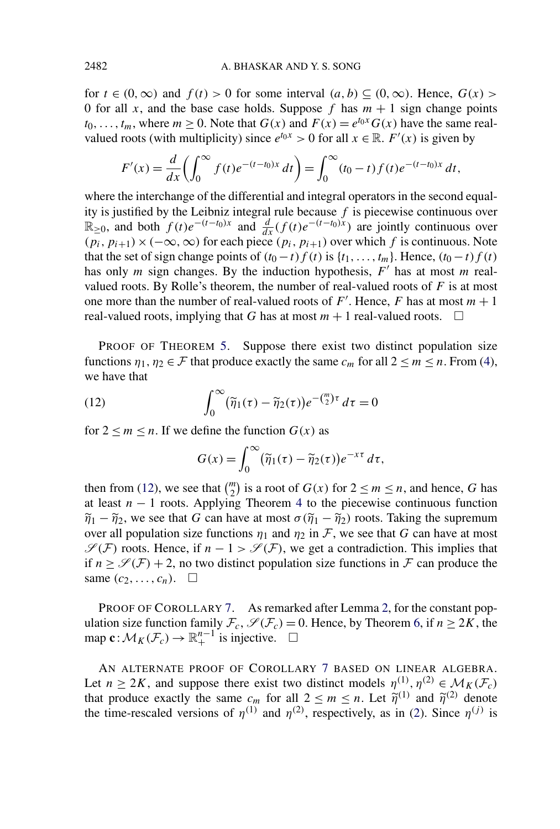for  $t \in (0, \infty)$  and  $f(t) > 0$  for some interval  $(a, b) \subseteq (0, \infty)$ . Hence,  $G(x) > 0$ 0 for all *x*, and the base case holds. Suppose *f* has  $m + 1$  sign change points  $t_0, \ldots, t_m$ , where  $m \ge 0$ . Note that  $G(x)$  and  $F(x) = e^{t_0 x} G(x)$  have the same realvalued roots (with multiplicity) since  $e^{t_0x} > 0$  for all  $x \in \mathbb{R}$ .  $F'(x)$  is given by

$$
F'(x) = \frac{d}{dx} \left( \int_0^\infty f(t) e^{-(t-t_0)x} dt \right) = \int_0^\infty (t_0 - t) f(t) e^{-(t-t_0)x} dt,
$$

where the interchange of the differential and integral operators in the second equality is justified by the Leibniz integral rule because *f* is piecewise continuous over  $\mathbb{R}_{\geq 0}$ , and both *f (t)e<sup>−(t−t</sup>0)<sup>x</sup></sup> and*  $\frac{d}{dx}$ *(f(t)e<sup>−(t−t</sup>0)<sup>x</sup>) are jointly continuous over*  $(p_i, p_{i+1}) \times$  (−∞, ∞) for each piece  $(p_i, p_{i+1})$  over which *f* is continuous. Note that the set of sign change points of  $(t_0 - t) f(t)$  is  $\{t_1, \ldots, t_m\}$ . Hence,  $(t_0 - t) f(t)$ has only *m* sign changes. By the induction hypothesis, F' has at most *m* realvalued roots. By Rolle's theorem, the number of real-valued roots of  $F$  is at most one more than the number of real-valued roots of  $F'$ . Hence,  $F$  has at most  $m + 1$ real-valued roots, implying that *G* has at most  $m + 1$  real-valued roots.  $\Box$ 

PROOF OF THEOREM [5.](#page-8-0) Suppose there exist two distinct population size functions  $\eta_1, \eta_2 \in \mathcal{F}$  that produce exactly the same  $c_m$  for all  $2 \le m \le n$ . From [\(4\)](#page-4-0), we have that

(12) 
$$
\int_0^\infty (\widetilde{\eta}_1(\tau) - \widetilde{\eta}_2(\tau)) e^{-\binom{m}{2}\tau} d\tau = 0
$$

for  $2 \le m \le n$ . If we define the function  $G(x)$  as

$$
G(x) = \int_0^\infty (\widetilde{\eta}_1(\tau) - \widetilde{\eta}_2(\tau)) e^{-x\tau} d\tau,
$$

then from (12), we see that  $\binom{m}{2}$  is a root of  $G(x)$  for  $2 \le m \le n$ , and hence, G has at least  $n - 1$  roots. Applying Theorem [4](#page-8-0) to the piecewise continuous function  $\tilde{\eta}_1 - \tilde{\eta}_2$ , we see that *G* can have at most  $\sigma(\tilde{\eta}_1 - \tilde{\eta}_2)$  roots. Taking the supremum over all population size functions  $\eta_1$  and  $\eta_2$  in F, we see that G can have at most  $\mathscr{S}(F)$  roots. Hence, if  $n - 1 > \mathscr{S}(F)$ , we get a contradiction. This implies that if  $n \ge \mathcal{S}(\mathcal{F}) + 2$ , no two distinct population size functions in  $\mathcal{F}$  can produce the same  $(c_2, \ldots, c_n)$ .  $\Box$ 

PROOF OF COROLLARY [7.](#page-8-0) As remarked after Lemma [2,](#page-7-0) for the constant population size function family  $\mathcal{F}_c$ ,  $\mathcal{S}(\mathcal{F}_c) = 0$ . Hence, by Theorem [6,](#page-8-0) if  $n \ge 2K$ , the map  $\mathbf{c}: \mathcal{M}_K(\mathcal{F}_c) \to \mathbb{R}^{n-1}_+$  is injective.  $\Box$ 

AN ALTERNATE PROOF OF COROLLARY [7](#page-8-0) BASED ON LINEAR ALGEBRA. Let  $n \ge 2K$ , and suppose there exist two distinct models  $\eta^{(1)}$ ,  $\eta^{(2)} \in M_K(\mathcal{F}_c)$ that produce exactly the same  $c_m$  for all  $2 \le m \le n$ . Let  $\tilde{\eta}^{(1)}$  and  $\tilde{\eta}^{(2)}$  denote the time-rescaled versions of  $\eta^{(1)}$  and  $\eta^{(2)}$  $\eta^{(2)}$  $\eta^{(2)}$ , respectively, as in (2). Since  $\eta^{(j)}$  is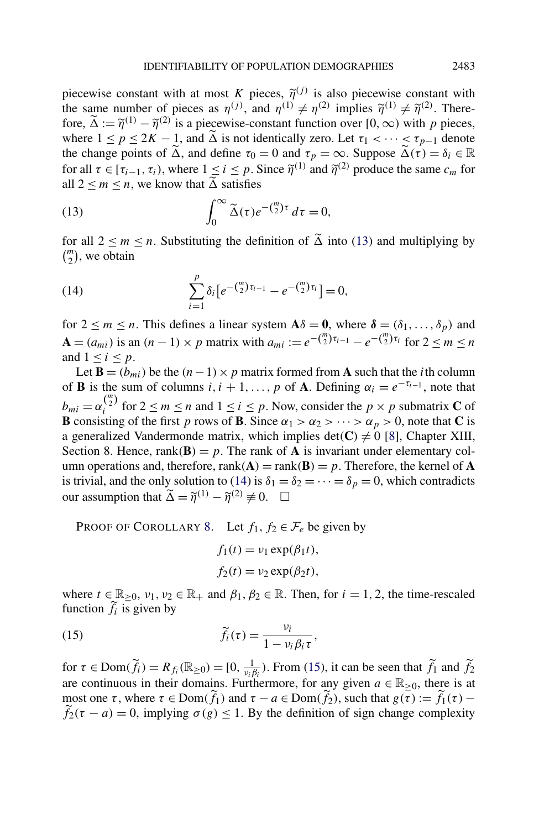piecewise constant with at most *K* pieces,  $\tilde{\eta}^{(j)}$  is also piecewise constant with the same number of pieces as  $\eta^{(j)}$ , and  $\eta^{(1)} \neq \eta^{(2)}$  implies  $\widetilde{\eta}^{(1)} \neq \widetilde{\eta}^{(2)}$ . Therefore,  $\tilde{\Delta} := \tilde{\eta}^{(1)} - \tilde{\eta}^{(2)}$  is a piecewise-constant function over [0,  $\infty$ ) with *p* pieces, where  $1 \le p \le 2K - 1$ , and  $\tilde{\Delta}$  is not identically zero. Let  $\tau_1 < \cdots < \tau_{p-1}$  denote the change points of  $\tilde{\Delta}$ , and define  $\tau_0 = 0$  and  $\tau_p = \infty$ . Suppose  $\tilde{\Delta}(\tau) = \delta_i \in \mathbb{R}$ for all  $\tau \in [\tau_{i-1}, \tau_i)$ , where  $1 \le i \le p$ . Since  $\tilde{\eta}^{(1)}$  and  $\tilde{\eta}^{(2)}$  produce the same  $c_m$  for all  $2 \le m \le n$ , we know that  $\tilde{\Delta}$  satisfies

(13) 
$$
\int_0^\infty \widetilde{\Delta}(\tau) e^{-(\frac{m}{2})\tau} d\tau = 0,
$$

for all  $2 \le m \le n$ . Substituting the definition of  $\tilde{\Delta}$  into (13) and multiplying by  $\binom{m}{2}$ , we obtain

(14) 
$$
\sum_{i=1}^{p} \delta_i \big[ e^{-(\binom{m}{2})\tau_{i-1}} - e^{-(\binom{m}{2})\tau_i} \big] = 0,
$$

for  $2 \le m \le n$ . This defines a linear system  $\mathbf{A}\delta = \mathbf{0}$ , where  $\delta = (\delta_1, \ldots, \delta_p)$  and  $\mathbf{A} = (a_{mi})$  is an  $(n - 1) \times p$  matrix with  $a_{mi} := e^{-\binom{m}{2} \tau_{i-1}} - e^{-\binom{m}{2} \tau_i}$  for  $2 \le m \le n$ and  $1 \leq i \leq p$ .

Let **B** =  $(b_{mi})$  be the  $(n-1) \times p$  matrix formed from **A** such that the *i*th column of **B** is the sum of columns *i*, *i* + 1, ..., *p* of **A**. Defining  $\alpha_i = e^{-\tau_{i-1}}$ , note that  $b_{mi} = \alpha_i^{m \choose 2}$  for  $2 \le m \le n$  and  $1 \le i \le p$ . Now, consider the  $p \times p$  submatrix **C** of **B** consisting of the first *p* rows of **B**. Since  $\alpha_1 > \alpha_2 > \cdots > \alpha_p > 0$ , note that **C** is a generalized Vandermonde matrix, which implies det $(C) \neq 0$  [\[8\]](#page-22-0), Chapter XIII, Section 8. Hence, rank $(\mathbf{B}) = p$ . The rank of **A** is invariant under elementary column operations and, therefore, rank $(A)$  = rank $(B)$  = p. Therefore, the kernel of **A** is trivial, and the only solution to (14) is  $\delta_1 = \delta_2 = \cdots = \delta_p = 0$ , which contradicts our assumption that  $\widetilde{\Delta} = \widetilde{\eta}^{(1)} - \widetilde{\eta}^{(2)} \not\equiv 0.$   $\Box$ 

PROOF OF COROLLARY [8.](#page-9-0) Let  $f_1, f_2 \in \mathcal{F}_e$  be given by

$$
f_1(t) = v_1 \exp(\beta_1 t),
$$
  

$$
f_2(t) = v_2 \exp(\beta_2 t),
$$

where  $t \in \mathbb{R}_{\geq 0}$ ,  $v_1, v_2 \in \mathbb{R}_+$  and  $\beta_1, \beta_2 \in \mathbb{R}$ . Then, for  $i = 1, 2$ , the time-rescaled function  $f_i$  is given by

(15) 
$$
\widetilde{f}_i(\tau) = \frac{v_i}{1 - v_i \beta_i \tau},
$$

for  $\tau \in \text{Dom}(\widetilde{f}_i) = R_{f_i}(\mathbb{R}_{\geq 0}) = [0, \frac{1}{v_i \beta_i})$ . From (15), it can be seen that  $\widetilde{f}_1$  and  $\widetilde{f}_2$ are continuous in their domains. Furthermore, for any given  $a \in \mathbb{R}_{\geq 0}$ , there is at most one  $\tau$ , where  $\tau \in \text{Dom}(\tilde{f}_1)$  and  $\tau - a \in \text{Dom}(\tilde{f}_2)$ , such that  $g(\tau) := \tilde{f}_1(\tau) - \tilde{f}_2(\tau)$  $f_2(\tau - a) = 0$ , implying  $\sigma(g) \le 1$ . By the definition of sign change complexity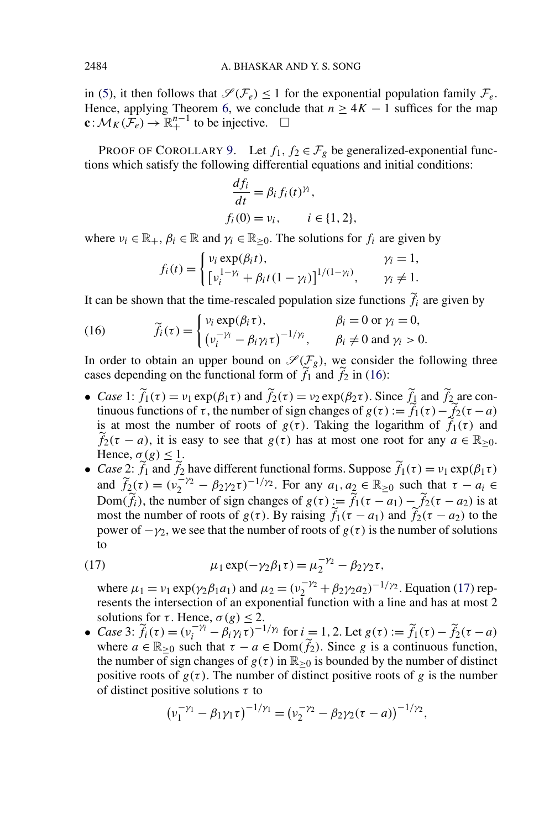in [\(5\)](#page-7-0), it then follows that  $\mathcal{S}(\mathcal{F}_e) \leq 1$  for the exponential population family  $\mathcal{F}_e$ . Hence, applying Theorem [6,](#page-8-0) we conclude that  $n \geq 4K - 1$  suffices for the map **c** :  $M_K(\mathcal{F}_e)$  →  $\mathbb{R}^{n-1}_+$  to be injective.  $\Box$ 

PROOF OF COROLLARY [9.](#page-9-0) Let  $f_1, f_2 \in \mathcal{F}_g$  be generalized-exponential functions which satisfy the following differential equations and initial conditions:

$$
\frac{df_i}{dt} = \beta_i f_i(t)^{\gamma_i},
$$
  
f\_i(0) = v\_i, \t i \in \{1, 2\},

where  $v_i \in \mathbb{R}_+$ ,  $\beta_i \in \mathbb{R}$  and  $\gamma_i \in \mathbb{R}_{\geq 0}$ . The solutions for  $f_i$  are given by

$$
f_i(t) = \begin{cases} v_i \exp(\beta_i t), & \gamma_i = 1, \\ \left[ v_i^{1 - \gamma_i} + \beta_i t (1 - \gamma_i) \right]^{1/(1 - \gamma_i)}, & \gamma_i \neq 1. \end{cases}
$$

It can be shown that the time-rescaled population size functions  $f_i$  are given by

(16) 
$$
\widetilde{f}_i(\tau) = \begin{cases} v_i \exp(\beta_i \tau), & \beta_i = 0 \text{ or } \gamma_i = 0, \\ (v_i^{-\gamma_i} - \beta_i \gamma_i \tau)^{-1/\gamma_i}, & \beta_i \neq 0 \text{ and } \gamma_i > 0. \end{cases}
$$

In order to obtain an upper bound on  $\mathcal{S}(\mathcal{F}_g)$ , we consider the following three cases depending on the functional form of  $f_1$  and  $f_2$  in (16):

- *Case* 1:  $\tilde{f}_1(\tau) = v_1 \exp(\beta_1 \tau)$  and  $\tilde{f}_2(\tau) = v_2 \exp(\beta_2 \tau)$ . Since  $\tilde{f}_1$  and  $\tilde{f}_2$  are continuous functions of  $\tau$ , the number of sign changes of  $g(\tau) := \tilde{f}_1(\tau) - \tilde{f}_2(\tau - a)$ is at most the number of roots of  $g(\tau)$ . Taking the logarithm of  $f_1(\tau)$  and  $\widetilde{f}_2(\tau - a)$ , it is easy to see that  $g(\tau)$  has at most one root for any  $a \in \mathbb{R}_{\geq 0}$ . Hence,  $\sigma(g)$  < 1.
- *Case* 2:  $\hat{f}_1$  and  $\hat{f}_2$  have different functional forms. Suppose  $\hat{f}_1(\tau) = v_1 \exp(\beta_1 \tau)$ and  $\widetilde{f}_2(\tau) = (v_2^{-\gamma_2} - \beta_2 \gamma_2 \tau)^{-1/\gamma_2}$ . For any  $a_1, a_2 \in \mathbb{R}_{\geq 0}$  such that  $\tau - a_i \in$ Dom $(\tilde{f}_i)$ , the number of sign changes of  $g(\tau) := \tilde{f}_1(\tau - a_1) - \tilde{f}_2(\tau - a_2)$  is at most the number of roots of  $g(\tau)$ . By raising  $\tilde{f}_1(\tau - a_1)$  and  $\tilde{f}_2(\tau - a_2)$  to the power of  $-\gamma_2$ , we see that the number of roots of  $g(\tau)$  is the number of solutions to

(17) 
$$
\mu_1 \exp(-\gamma_2 \beta_1 \tau) = \mu_2^{-\gamma_2} - \beta_2 \gamma_2 \tau,
$$

where  $\mu_1 = \nu_1 \exp(\gamma_2 \beta_1 a_1)$  and  $\mu_2 = (\nu_2^{-\gamma_2} + \beta_2 \gamma_2 a_2)^{-1/\gamma_2}$ . Equation (17) represents the intersection of an exponential function with a line and has at most 2 solutions for  $\tau$ . Hence,  $\sigma(g) \leq 2$ .

 $\bullet$  *Case* 3:  $\widetilde{f}_i(\tau) = (\nu_i^{-\gamma_i} - \beta_i \gamma_i \tau)^{-1/\gamma_i}$  for  $i = 1, 2$ . Let *g*(τ) :=  $\widetilde{f}_1(\tau) - \widetilde{f}_2(\tau - a)$ where  $a \in \mathbb{R}_{\geq 0}$  such that  $\tau - a \in \text{Dom}(\tilde{f}_2)$ . Since *g* is a continuous function, the number of sign changes of  $g(\tau)$  in  $\mathbb{R}_{\geq 0}$  is bounded by the number of distinct positive roots of  $g(\tau)$ . The number of distinct positive roots of *g* is the number of distinct positive solutions *τ* to

$$
(\nu_1^{-\gamma_1}-\beta_1\gamma_1\tau)^{-1/\gamma_1}=(\nu_2^{-\gamma_2}-\beta_2\gamma_2(\tau-a))^{-1/\gamma_2},
$$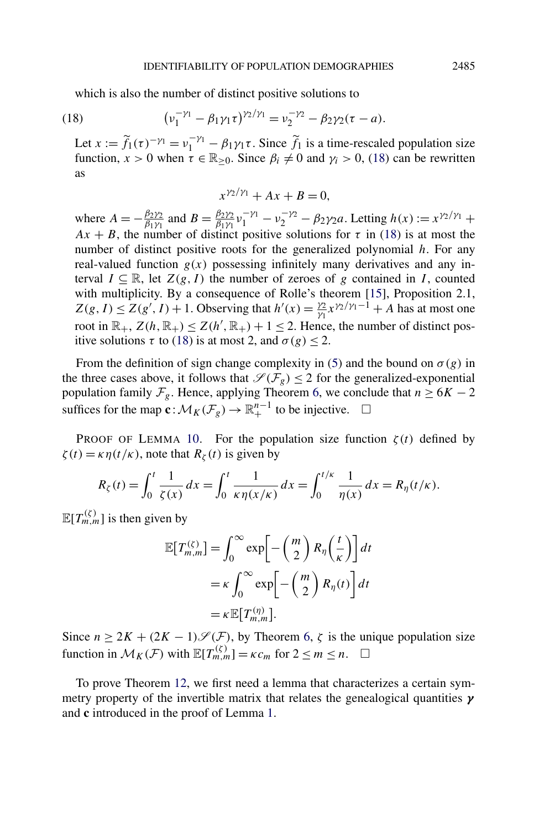which is also the number of distinct positive solutions to

(18) 
$$
\left(v_1^{-\gamma_1} - \beta_1 \gamma_1 \tau\right)^{\gamma_2/\gamma_1} = v_2^{-\gamma_2} - \beta_2 \gamma_2 (\tau - a).
$$

Let  $x := \tilde{f}_1(\tau)^{-\gamma_1} = v_1^{-\gamma_1} - \beta_1 \gamma_1 \tau$ . Since  $\tilde{f}_1$  is a time-rescaled population size function,  $x > 0$  when  $\tau \in \mathbb{R}_{\geq 0}$ . Since  $\beta_i \neq 0$  and  $\gamma_i > 0$ , (18) can be rewritten as

$$
x^{\gamma_2/\gamma_1} + Ax + B = 0,
$$

where  $A = -\frac{\beta_2 \gamma_2}{\beta_1 \gamma_1}$  and  $B = \frac{\beta_2 \gamma_2}{\beta_1 \gamma_1} v_1^{-\gamma_1} - v_2^{-\gamma_2} - \beta_2 \gamma_2 a$ . Letting  $h(x) := x^{\gamma_2/\gamma_1} +$  $Ax + B$ , the number of distinct positive solutions for  $\tau$  in (18) is at most the number of distinct positive roots for the generalized polynomial *h*. For any real-valued function  $g(x)$  possessing infinitely many derivatives and any interval  $I \subseteq \mathbb{R}$ , let  $Z(g, I)$  the number of zeroes of g contained in *I*, counted with multiplicity. By a consequence of Rolle's theorem [\[15\]](#page-22-0), Proposition 2.1,  $Z(g, I) \leq Z(g', I) + 1$ . Observing that  $h'(x) = \frac{\gamma_2}{\gamma_1} x^{\gamma_2/\gamma_1 - 1} + A$  has at most one root in  $\mathbb{R}_+$ ,  $Z(h, \mathbb{R}_+) \leq Z(h', \mathbb{R}_+) + 1 \leq 2$ . Hence, the number of distinct positive solutions  $\tau$  to (18) is at most 2, and  $\sigma(g) < 2$ .

From the definition of sign change complexity in [\(5\)](#page-7-0) and the bound on  $\sigma(g)$  in the three cases above, it follows that  $\mathcal{S}(\mathcal{F}_g) \leq 2$  for the generalized-exponential population family  $\mathcal{F}_g$ . Hence, applying Theorem [6,](#page-8-0) we conclude that  $n \ge 6K - 2$ suffices for the map  $\mathbf{c}: \mathcal{M}_K(\mathcal{F}_g) \to \mathbb{R}^{n-1}_+$  to be injective.  $\Box$ 

PROOF OF LEMMA [10.](#page-9-0) For the population size function  $\zeta(t)$  defined by  $\zeta(t) = \kappa \eta(t/\kappa)$ , note that  $R_\zeta(t)$  is given by

$$
R_{\zeta}(t) = \int_0^t \frac{1}{\zeta(x)} dx = \int_0^t \frac{1}{\kappa \eta(x/\kappa)} dx = \int_0^{t/\kappa} \frac{1}{\eta(x)} dx = R_{\eta}(t/\kappa).
$$

 $\mathbb{E}[T_{m,m}^{(\zeta)}]$  is then given by

$$
\mathbb{E}[T_{m,m}^{(\zeta)}] = \int_0^\infty \exp\left[-\left(\frac{m}{2}\right) R_\eta\left(\frac{t}{\kappa}\right)\right] dt
$$

$$
= \kappa \int_0^\infty \exp\left[-\left(\frac{m}{2}\right) R_\eta(t)\right] dt
$$

$$
= \kappa \mathbb{E}[T_{m,m}^{(\eta)}].
$$

Since  $n \ge 2K + (2K - 1)\mathcal{S}(\mathcal{F})$ , by Theorem [6,](#page-8-0)  $\zeta$  is the unique population size function in  $\mathcal{M}_K(\mathcal{F})$  with  $\mathbb{E}[T_{m,m}^{(\zeta)}] = \kappa c_m$  for  $2 \le m \le n$ .  $\Box$ 

To prove Theorem [12,](#page-10-0) we first need a lemma that characterizes a certain symmetry property of the invertible matrix that relates the genealogical quantities *γ* and **c** introduced in the proof of Lemma [1.](#page-5-0)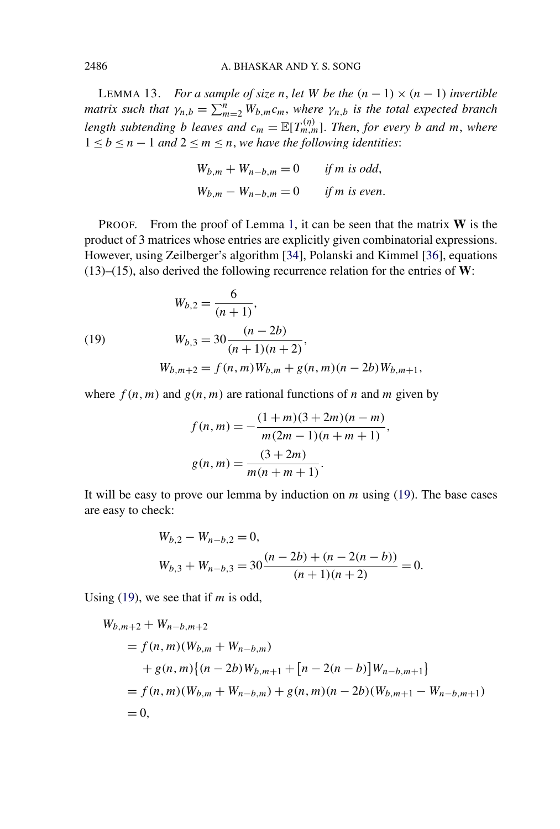<span id="page-17-0"></span>LEMMA 13. *For a sample of size n*, *let W be the*  $(n − 1) \times (n − 1)$  *invertible matrix such that*  $\gamma_{n,b} = \sum_{m=2}^{n} W_{b,m} c_m$ , *where*  $\gamma_{n,b}$  *is the total expected branch length subtending b leaves and*  $c_m = \mathbb{E}[T_{m,m}^{(\eta)}]$ . Then, for every *b and m*, where 1 ≤ *b* ≤ *n* − 1 *and* 2 ≤ *m* ≤ *n*, *we have the following identities*:

$$
W_{b,m} + W_{n-b,m} = 0 \t\t \text{if } m \text{ is odd},
$$
  

$$
W_{b,m} - W_{n-b,m} = 0 \t\t \text{if } m \text{ is even}.
$$

PROOF. From the proof of Lemma [1,](#page-5-0) it can be seen that the matrix **W** is the product of 3 matrices whose entries are explicitly given combinatorial expressions. However, using Zeilberger's algorithm [\[34\]](#page-23-0), Polanski and Kimmel [\[36\]](#page-23-0), equations (13)–(15), also derived the following recurrence relation for the entries of **W**:

(19) 
$$
W_{b,2} = \frac{6}{(n+1)},
$$

$$
W_{b,3} = 30 \frac{(n-2b)}{(n+1)(n+2)},
$$

$$
W_{b,m+2} = f(n,m)W_{b,m} + g(n,m)(n-2b)W_{b,m+1},
$$

where  $f(n, m)$  and  $g(n, m)$  are rational functions of *n* and *m* given by

$$
f(n, m) = -\frac{(1+m)(3+2m)(n-m)}{m(2m-1)(n+m+1)},
$$

$$
g(n,m) = \frac{(3+2m)}{m(n+m+1)}.
$$

It will be easy to prove our lemma by induction on *m* using (19). The base cases are easy to check:

$$
W_{b,2} - W_{n-b,2} = 0,
$$
  
\n
$$
W_{b,3} + W_{n-b,3} = 30 \frac{(n-2b) + (n-2(n-b))}{(n+1)(n+2)} = 0.
$$

Using (19), we see that if *m* is odd,

$$
W_{b,m+2} + W_{n-b,m+2}
$$
  
=  $f(n, m) (W_{b,m} + W_{n-b,m})$   
+  $g(n, m) {(n - 2b)W_{b,m+1} + [n - 2(n - b)]W_{n-b,m+1}}$   
=  $f(n, m) (W_{b,m} + W_{n-b,m}) + g(n, m) (n - 2b) (W_{b,m+1} - W_{n-b,m+1})$   
= 0,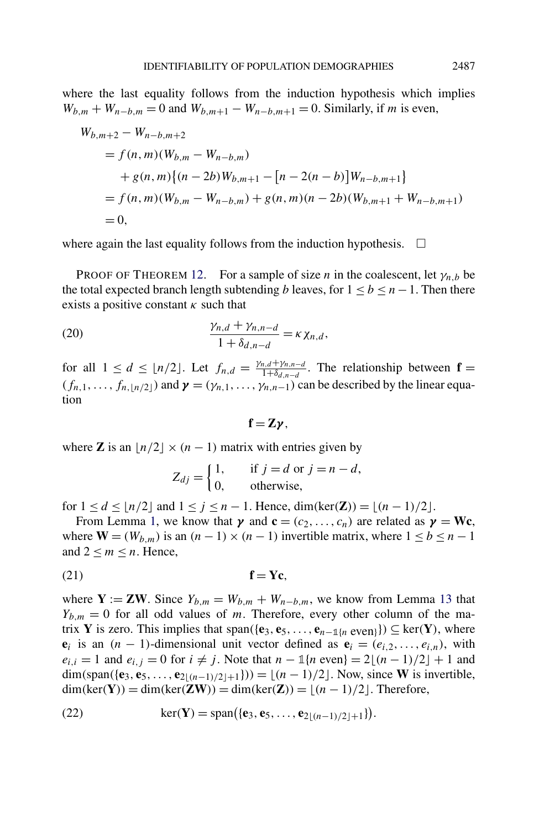<span id="page-18-0"></span>where the last equality follows from the induction hypothesis which implies *W<sub>b,m</sub>* + *W<sub>n−b,m</sub>* = 0 and *W<sub>b,m+1</sub>* − *W<sub>n−b,m+1*</sub> = 0. Similarly, if *m* is even,

$$
W_{b,m+2} - W_{n-b,m+2}
$$
  
=  $f(n, m) (W_{b,m} - W_{n-b,m})$   
+  $g(n, m) \{(n - 2b)W_{b,m+1} - [n - 2(n - b)]W_{n-b,m+1}\}$   
=  $f(n, m) (W_{b,m} - W_{n-b,m}) + g(n, m) (n - 2b) (W_{b,m+1} + W_{n-b,m+1})$   
= 0,

where again the last equality follows from the induction hypothesis.  $\Box$ 

PROOF OF THEOREM [12.](#page-10-0) For a sample of size *n* in the coalescent, let  $\gamma_{n,b}$  be the total expected branch length subtending *b* leaves, for  $1 \leq b \leq n-1$ . Then there exists a positive constant *κ* such that

(20) 
$$
\frac{\gamma_{n,d} + \gamma_{n,n-d}}{1 + \delta_{d,n-d}} = \kappa \chi_{n,d},
$$

for all  $1 \leq d \leq \lfloor n/2 \rfloor$ . Let  $f_{n,d} = \frac{\gamma_{n,d} + \gamma_{n,n-d}}{1 + \delta_{d,n-d}}$ . The relationship between  $\mathbf{f} =$  $(f_{n,1},..., f_{n,[n/2]})$  and  $\gamma = (\gamma_{n,1},..., \gamma_{n,n-1})$  can be described by the linear equation

$$
f=Z\gamma\,,
$$

where **Z** is an  $\lfloor n/2 \rfloor \times (n-1)$  matrix with entries given by

$$
Z_{dj} = \begin{cases} 1, & \text{if } j = d \text{ or } j = n - d, \\ 0, & \text{otherwise,} \end{cases}
$$

for  $1 \le d \le \lfloor n/2 \rfloor$  and  $1 \le j \le n - 1$ . Hence, dim(ker(**Z**)) =  $\lfloor (n - 1)/2 \rfloor$ .

From Lemma [1,](#page-5-0) we know that  $\gamma$  and  $\mathbf{c} = (c_2, \dots, c_n)$  are related as  $\gamma = \mathbf{Wc}$ , where  $\mathbf{W} = (W_{b,m})$  is an  $(n-1) \times (n-1)$  invertible matrix, where  $1 \leq b \leq n-1$ and  $2 \leq m \leq n$ . Hence,

$$
f = Yc,
$$

where **Y** := **ZW**. Since  $Y_{b,m} = W_{b,m} + W_{n-b,m}$ , we know from Lemma [13](#page-17-0) that  $Y_{b,m} = 0$  for all odd values of *m*. Therefore, every other column of the matrix **Y** is zero. This implies that span({**e**<sub>3</sub>, **e**<sub>5</sub>, . . . , **e**<sub>*n*−⊥{*n*</sub> even}}) ⊆ ker(**Y**), where **e**<sub>*i*</sub> is an  $(n - 1)$ -dimensional unit vector defined as  $e_i = (e_{i,2}, \ldots, e_{i,n})$ , with  $e_{i,i} = 1$  and  $e_{i,j} = 0$  for  $i \neq j$ . Note that  $n - \mathbb{1}\{n \text{ even}\} = 2\lfloor (n-1)/2 \rfloor + 1$  and  $dim(span({**e**<sub>3</sub>, **e**<sub>5</sub>, ..., **e**<sub>2</sub>_{(n-1)/2]+1})$ ) = [(*n* − 1)/2]. Now, since **W** is invertible,  $dim(ker(Y)) = dim(ker(ZW)) = dim(ker(Z)) = \lfloor (n-1)/2 \rfloor$ . Therefore,

(22) 
$$
\ker(Y) = \text{span}(\{e_3, e_5, \dots, e_{2\lfloor (n-1)/2 \rfloor + 1}\}).
$$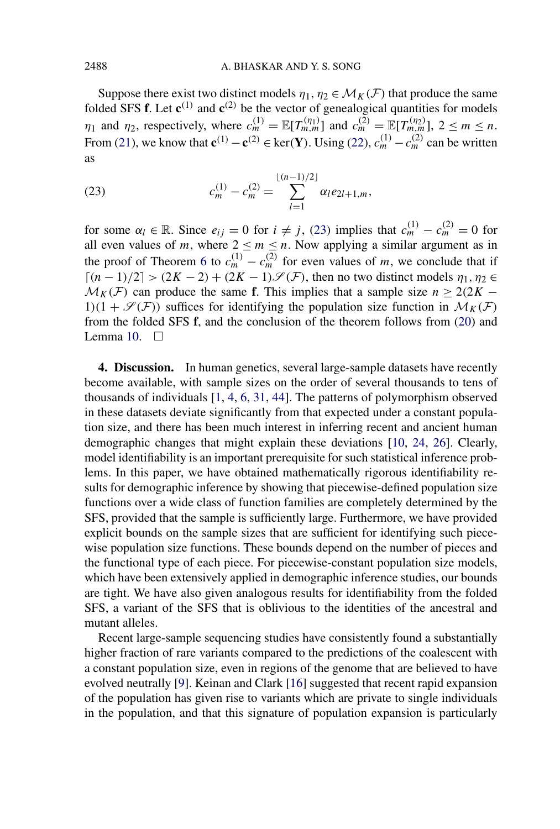<span id="page-19-0"></span>Suppose there exist two distinct models  $\eta_1, \eta_2 \in \mathcal{M}_K(\mathcal{F})$  that produce the same folded SFS **f**. Let  $c^{(1)}$  and  $c^{(2)}$  be the vector of genealogical quantities for models  $\eta_1$  and  $\eta_2$ , respectively, where  $c_m^{(1)} = \mathbb{E}[T_{m,m}^{(\eta_1)}]$  and  $c_m^{(2)} = \mathbb{E}[T_{m,m}^{(\eta_2)}], 2 \le m \le n$ . From [\(21\)](#page-18-0), we know that  $\mathbf{c}^{(1)} - \mathbf{c}^{(2)} \in \text{ker}(\mathbf{Y})$ . Using [\(22\)](#page-18-0),  $c_m^{(1)} - c_m^{(2)}$  can be written as

(23) 
$$
c_m^{(1)} - c_m^{(2)} = \sum_{l=1}^{\lfloor (n-1)/2 \rfloor} \alpha_l e_{2l+1,m},
$$

for some  $\alpha_l \in \mathbb{R}$ . Since  $e_{ij} = 0$  for  $i \neq j$ , (23) implies that  $c_m^{(1)} - c_m^{(2)} = 0$  for all even values of *m*, where  $2 \le m \le n$ . Now applying a similar argument as in the proof of Theorem [6](#page-8-0) to  $c_m^{(1)} - c_m^{(2)}$  for even values of *m*, we conclude that if  $[(n-1)/2] > (2K - 2) + (2K - 1)$  $\mathcal{S}(F)$ *, then no two distinct models*  $η_1, η_2 ∈$  $\mathcal{M}_K(\mathcal{F})$  can produce the same **f**. This implies that a sample size  $n \geq 2(2K - 1)$  $1(1 + \mathcal{S}(\mathcal{F}))$  suffices for identifying the population size function in  $\mathcal{M}_K(\mathcal{F})$ from the folded SFS **f**, and the conclusion of the theorem follows from [\(20\)](#page-18-0) and Lemma [10.](#page-9-0)  $\Box$ 

**4. Discussion.** In human genetics, several large-sample datasets have recently become available, with sample sizes on the order of several thousands to tens of thousands of individuals [\[1,](#page-21-0) [4,](#page-22-0) [6,](#page-22-0) [31,](#page-23-0) [44\]](#page-24-0). The patterns of polymorphism observed in these datasets deviate significantly from that expected under a constant population size, and there has been much interest in inferring recent and ancient human demographic changes that might explain these deviations [\[10,](#page-22-0) [24,](#page-23-0) [26\]](#page-23-0). Clearly, model identifiability is an important prerequisite for such statistical inference problems. In this paper, we have obtained mathematically rigorous identifiability results for demographic inference by showing that piecewise-defined population size functions over a wide class of function families are completely determined by the SFS, provided that the sample is sufficiently large. Furthermore, we have provided explicit bounds on the sample sizes that are sufficient for identifying such piecewise population size functions. These bounds depend on the number of pieces and the functional type of each piece. For piecewise-constant population size models, which have been extensively applied in demographic inference studies, our bounds are tight. We have also given analogous results for identifiability from the folded SFS, a variant of the SFS that is oblivious to the identities of the ancestral and mutant alleles.

Recent large-sample sequencing studies have consistently found a substantially higher fraction of rare variants compared to the predictions of the coalescent with a constant population size, even in regions of the genome that are believed to have evolved neutrally [\[9\]](#page-22-0). Keinan and Clark [\[16\]](#page-22-0) suggested that recent rapid expansion of the population has given rise to variants which are private to single individuals in the population, and that this signature of population expansion is particularly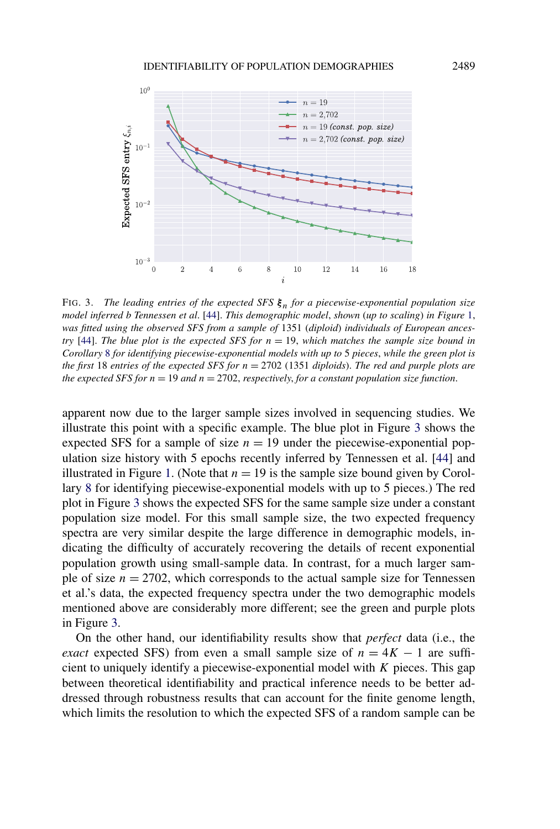

FIG. 3. *The leading entries of the expected SFS ξ<sup>n</sup> for a piecewise-exponential population size model inferred b Tennessen et al*. [\[44\]](#page-24-0). *This demographic model*, *shown* (*up to scaling*) *in Figure* [1,](#page-6-0) *was fitted using the observed SFS from a sample of* 1351 (*diploid*) *individuals of European ancestry* [\[44\]](#page-24-0). *The blue plot is the expected SFS for n* = 19, *which matches the sample size bound in Corollary* [8](#page-9-0) *for identifying piecewise-exponential models with up to* 5 *pieces*, *while the green plot is the first* 18 *entries of the expected SFS for n* = 2702 (1351 *diploids*). *The red and purple plots are the expected SFS for n* = 19 *and n* = 2702, *respectively*, *for a constant population size function*.

apparent now due to the larger sample sizes involved in sequencing studies. We illustrate this point with a specific example. The blue plot in Figure 3 shows the expected SFS for a sample of size  $n = 19$  under the piecewise-exponential population size history with 5 epochs recently inferred by Tennessen et al. [\[44\]](#page-24-0) and illustrated in Figure [1.](#page-6-0) (Note that  $n = 19$  is the sample size bound given by Corollary [8](#page-9-0) for identifying piecewise-exponential models with up to 5 pieces.) The red plot in Figure 3 shows the expected SFS for the same sample size under a constant population size model. For this small sample size, the two expected frequency spectra are very similar despite the large difference in demographic models, indicating the difficulty of accurately recovering the details of recent exponential population growth using small-sample data. In contrast, for a much larger sample of size  $n = 2702$ , which corresponds to the actual sample size for Tennessen et al.'s data, the expected frequency spectra under the two demographic models mentioned above are considerably more different; see the green and purple plots in Figure 3.

On the other hand, our identifiability results show that *perfect* data (i.e., the *exact* expected SFS) from even a small sample size of  $n = 4K - 1$  are sufficient to uniquely identify a piecewise-exponential model with *K* pieces. This gap between theoretical identifiability and practical inference needs to be better addressed through robustness results that can account for the finite genome length, which limits the resolution to which the expected SFS of a random sample can be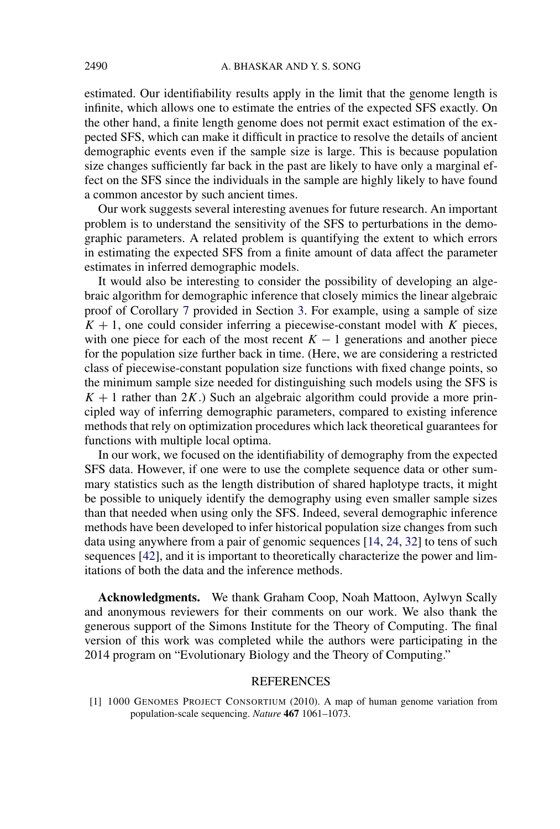<span id="page-21-0"></span>estimated. Our identifiability results apply in the limit that the genome length is infinite, which allows one to estimate the entries of the expected SFS exactly. On the other hand, a finite length genome does not permit exact estimation of the expected SFS, which can make it difficult in practice to resolve the details of ancient demographic events even if the sample size is large. This is because population size changes sufficiently far back in the past are likely to have only a marginal effect on the SFS since the individuals in the sample are highly likely to have found a common ancestor by such ancient times.

Our work suggests several interesting avenues for future research. An important problem is to understand the sensitivity of the SFS to perturbations in the demographic parameters. A related problem is quantifying the extent to which errors in estimating the expected SFS from a finite amount of data affect the parameter estimates in inferred demographic models.

It would also be interesting to consider the possibility of developing an algebraic algorithm for demographic inference that closely mimics the linear algebraic proof of Corollary [7](#page-8-0) provided in Section [3.](#page-11-0) For example, using a sample of size  $K + 1$ , one could consider inferring a piecewise-constant model with *K* pieces, with one piece for each of the most recent  $K - 1$  generations and another piece for the population size further back in time. (Here, we are considering a restricted class of piecewise-constant population size functions with fixed change points, so the minimum sample size needed for distinguishing such models using the SFS is  $K + 1$  rather than 2*K*.) Such an algebraic algorithm could provide a more principled way of inferring demographic parameters, compared to existing inference methods that rely on optimization procedures which lack theoretical guarantees for functions with multiple local optima.

In our work, we focused on the identifiability of demography from the expected SFS data. However, if one were to use the complete sequence data or other summary statistics such as the length distribution of shared haplotype tracts, it might be possible to uniquely identify the demography using even smaller sample sizes than that needed when using only the SFS. Indeed, several demographic inference methods have been developed to infer historical population size changes from such data using anywhere from a pair of genomic sequences [\[14,](#page-22-0) [24,](#page-23-0) [32\]](#page-23-0) to tens of such sequences [\[42\]](#page-24-0), and it is important to theoretically characterize the power and limitations of both the data and the inference methods.

**Acknowledgments.** We thank Graham Coop, Noah Mattoon, Aylwyn Scally and anonymous reviewers for their comments on our work. We also thank the generous support of the Simons Institute for the Theory of Computing. The final version of this work was completed while the authors were participating in the 2014 program on "Evolutionary Biology and the Theory of Computing."

## **REFERENCES**

[1] 1000 GENOMES PROJECT CONSORTIUM (2010). A map of human genome variation from population-scale sequencing. *Nature* **467** 1061–1073.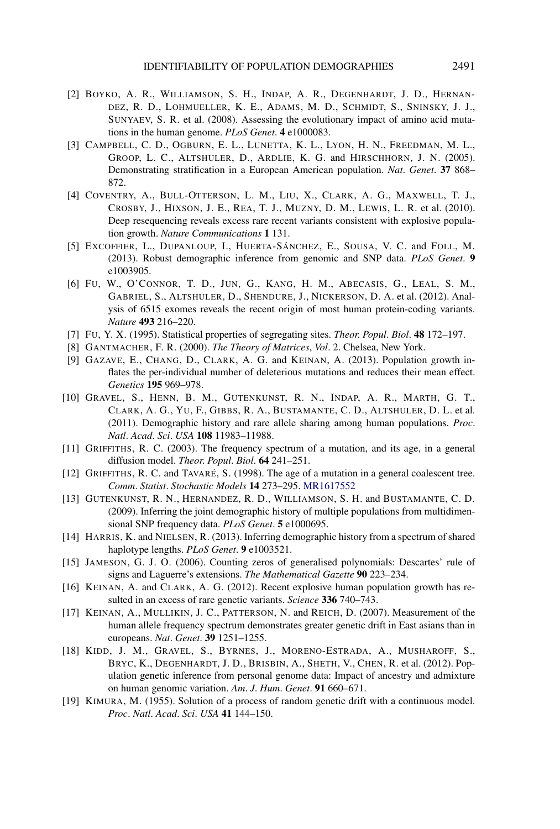- <span id="page-22-0"></span>[2] BOYKO, A. R., WILLIAMSON, S. H., INDAP, A. R., DEGENHARDT, J. D., HERNAN-DEZ, R. D., LOHMUELLER, K. E., ADAMS, M. D., SCHMIDT, S., SNINSKY, J. J., SUNYAEV, S. R. et al. (2008). Assessing the evolutionary impact of amino acid mutations in the human genome. *PLoS Genet*. **4** e1000083.
- [3] CAMPBELL, C. D., OGBURN, E. L., LUNETTA, K. L., LYON, H. N., FREEDMAN, M. L., GROOP, L. C., ALTSHULER, D., ARDLIE, K. G. and HIRSCHHORN, J. N. (2005). Demonstrating stratification in a European American population. *Nat*. *Genet*. **37** 868– 872.
- [4] COVENTRY, A., BULL-OTTERSON, L. M., LIU, X., CLARK, A. G., MAXWELL, T. J., CROSBY, J., HIXSON, J. E., REA, T. J., MUZNY, D. M., LEWIS, L. R. et al. (2010). Deep resequencing reveals excess rare recent variants consistent with explosive population growth. *Nature Communications* **1** 131.
- [5] EXCOFFIER, L., DUPANLOUP, I., HUERTA-SÁNCHEZ, E., SOUSA, V. C. and FOLL, M. (2013). Robust demographic inference from genomic and SNP data. *PLoS Genet*. **9** e1003905.
- [6] FU, W., O'CONNOR, T. D., JUN, G., KANG, H. M., ABECASIS, G., LEAL, S. M., GABRIEL, S., ALTSHULER, D., SHENDURE, J., NICKERSON, D. A. et al. (2012). Analysis of 6515 exomes reveals the recent origin of most human protein-coding variants. *Nature* **493** 216–220.
- [7] FU, Y. X. (1995). Statistical properties of segregating sites. *Theor*. *Popul*. *Biol*. **48** 172–197.
- [8] GANTMACHER, F. R. (2000). *The Theory of Matrices*, *Vol*. 2. Chelsea, New York.
- [9] GAZAVE, E., CHANG, D., CLARK, A. G. and KEINAN, A. (2013). Population growth inflates the per-individual number of deleterious mutations and reduces their mean effect. *Genetics* **195** 969–978.
- [10] GRAVEL, S., HENN, B. M., GUTENKUNST, R. N., INDAP, A. R., MARTH, G. T., CLARK, A. G., YU, F., GIBBS, R. A., BUSTAMANTE, C. D., ALTSHULER, D. L. et al. (2011). Demographic history and rare allele sharing among human populations. *Proc*. *Natl*. *Acad*. *Sci*. *USA* **108** 11983–11988.
- [11] GRIFFITHS, R. C. (2003). The frequency spectrum of a mutation, and its age, in a general diffusion model. *Theor*. *Popul*. *Biol*. **64** 241–251.
- [12] GRIFFITHS, R. C. and TAVARÉ, S. (1998). The age of a mutation in a general coalescent tree. *Comm*. *Statist*. *Stochastic Models* **14** 273–295. [MR1617552](http://www.ams.org/mathscinet-getitem?mr=1617552)
- [13] GUTENKUNST, R. N., HERNANDEZ, R. D., WILLIAMSON, S. H. and BUSTAMANTE, C. D. (2009). Inferring the joint demographic history of multiple populations from multidimensional SNP frequency data. *PLoS Genet*. **5** e1000695.
- [14] HARRIS, K. and NIELSEN, R. (2013). Inferring demographic history from a spectrum of shared haplotype lengths. *PLoS Genet*. **9** e1003521.
- [15] JAMESON, G. J. O. (2006). Counting zeros of generalised polynomials: Descartes' rule of signs and Laguerre's extensions. *The Mathematical Gazette* **90** 223–234.
- [16] KEINAN, A. and CLARK, A. G. (2012). Recent explosive human population growth has resulted in an excess of rare genetic variants. *Science* **336** 740–743.
- [17] KEINAN, A., MULLIKIN, J. C., PATTERSON, N. and REICH, D. (2007). Measurement of the human allele frequency spectrum demonstrates greater genetic drift in East asians than in europeans. *Nat*. *Genet*. **39** 1251–1255.
- [18] KIDD, J. M., GRAVEL, S., BYRNES, J., MORENO-ESTRADA, A., MUSHAROFF, S., BRYC, K., DEGENHARDT, J. D., BRISBIN, A., SHETH, V., CHEN, R. et al. (2012). Population genetic inference from personal genome data: Impact of ancestry and admixture on human genomic variation. *Am*. *J*. *Hum*. *Genet*. **91** 660–671.
- [19] KIMURA, M. (1955). Solution of a process of random genetic drift with a continuous model. *Proc*. *Natl*. *Acad*. *Sci*. *USA* **41** 144–150.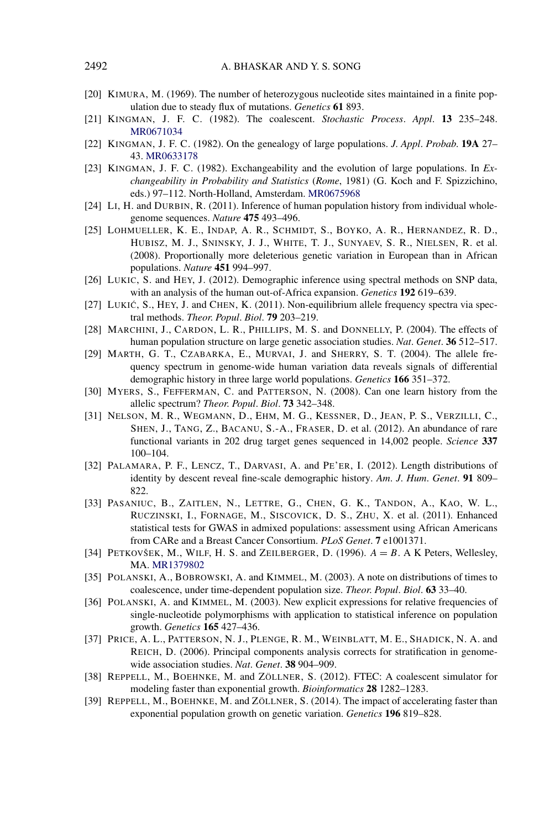- <span id="page-23-0"></span>[20] KIMURA, M. (1969). The number of heterozygous nucleotide sites maintained in a finite population due to steady flux of mutations. *Genetics* **61** 893.
- [21] KINGMAN, J. F. C. (1982). The coalescent. *Stochastic Process*. *Appl*. **13** 235–248. [MR0671034](http://www.ams.org/mathscinet-getitem?mr=0671034)
- [22] KINGMAN, J. F. C. (1982). On the genealogy of large populations. *J*. *Appl*. *Probab*. **19A** 27– 43. [MR0633178](http://www.ams.org/mathscinet-getitem?mr=0633178)
- [23] KINGMAN, J. F. C. (1982). Exchangeability and the evolution of large populations. In *Exchangeability in Probability and Statistics* (*Rome*, 1981) (G. Koch and F. Spizzichino, eds.) 97–112. North-Holland, Amsterdam. [MR0675968](http://www.ams.org/mathscinet-getitem?mr=0675968)
- [24] LI, H. and DURBIN, R. (2011). Inference of human population history from individual wholegenome sequences. *Nature* **475** 493–496.
- [25] LOHMUELLER, K. E., INDAP, A. R., SCHMIDT, S., BOYKO, A. R., HERNANDEZ, R. D., HUBISZ, M. J., SNINSKY, J. J., WHITE, T. J., SUNYAEV, S. R., NIELSEN, R. et al. (2008). Proportionally more deleterious genetic variation in European than in African populations. *Nature* **451** 994–997.
- [26] LUKIC, S. and HEY, J. (2012). Demographic inference using spectral methods on SNP data, with an analysis of the human out-of-Africa expansion. *Genetics* **192** 619–639.
- [27] LUKIĆ, S., HEY, J. and CHEN, K. (2011). Non-equilibrium allele frequency spectra via spectral methods. *Theor*. *Popul*. *Biol*. **79** 203–219.
- [28] MARCHINI, J., CARDON, L. R., PHILLIPS, M. S. and DONNELLY, P. (2004). The effects of human population structure on large genetic association studies. *Nat*. *Genet*. **36** 512–517.
- [29] MARTH, G. T., CZABARKA, E., MURVAI, J. and SHERRY, S. T. (2004). The allele frequency spectrum in genome-wide human variation data reveals signals of differential demographic history in three large world populations. *Genetics* **166** 351–372.
- [30] MYERS, S., FEFFERMAN, C. and PATTERSON, N. (2008). Can one learn history from the allelic spectrum? *Theor*. *Popul*. *Biol*. **73** 342–348.
- [31] NELSON, M. R., WEGMANN, D., EHM, M. G., KESSNER, D., JEAN, P. S., VERZILLI, C., SHEN, J., TANG, Z., BACANU, S.-A., FRASER, D. et al. (2012). An abundance of rare functional variants in 202 drug target genes sequenced in 14,002 people. *Science* **337** 100–104.
- [32] PALAMARA, P. F., LENCZ, T., DARVASI, A. and PE'ER, I. (2012). Length distributions of identity by descent reveal fine-scale demographic history. *Am*. *J*. *Hum*. *Genet*. **91** 809– 822.
- [33] PASANIUC, B., ZAITLEN, N., LETTRE, G., CHEN, G. K., TANDON, A., KAO, W. L., RUCZINSKI, I., FORNAGE, M., SISCOVICK, D. S., ZHU, X. et al. (2011). Enhanced statistical tests for GWAS in admixed populations: assessment using African Americans from CARe and a Breast Cancer Consortium. *PLoS Genet*. **7** e1001371.
- [34] PETKOVŠEK, M., WILF, H. S. and ZEILBERGER, D. (1996). *A* = *B*. A K Peters, Wellesley, MA. [MR1379802](http://www.ams.org/mathscinet-getitem?mr=1379802)
- [35] POLANSKI, A., BOBROWSKI, A. and KIMMEL, M. (2003). A note on distributions of times to coalescence, under time-dependent population size. *Theor*. *Popul*. *Biol*. **63** 33–40.
- [36] POLANSKI, A. and KIMMEL, M. (2003). New explicit expressions for relative frequencies of single-nucleotide polymorphisms with application to statistical inference on population growth. *Genetics* **165** 427–436.
- [37] PRICE, A. L., PATTERSON, N. J., PLENGE, R. M., WEINBLATT, M. E., SHADICK, N. A. and REICH, D. (2006). Principal components analysis corrects for stratification in genomewide association studies. *Nat*. *Genet*. **38** 904–909.
- [38] REPPELL, M., BOEHNKE, M. and ZÖLLNER, S. (2012). FTEC: A coalescent simulator for modeling faster than exponential growth. *Bioinformatics* **28** 1282–1283.
- [39] REPPELL, M., BOEHNKE, M. and ZÖLLNER, S. (2014). The impact of accelerating faster than exponential population growth on genetic variation. *Genetics* **196** 819–828.